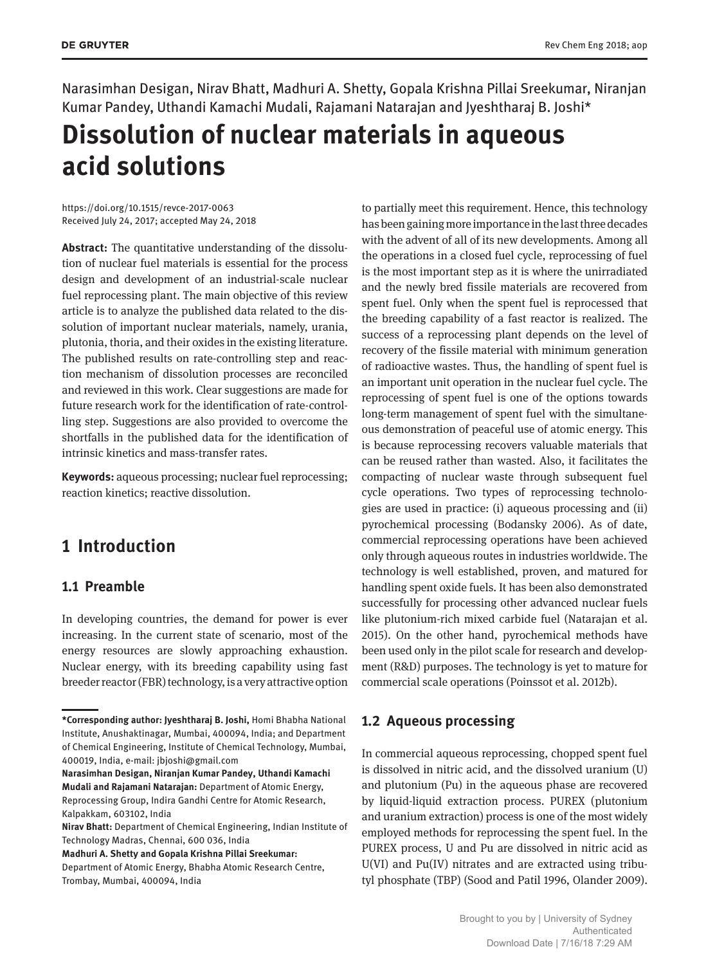Narasimhan Desigan, Nirav Bhatt, Madhuri A. Shetty, Gopala Krishna Pillai Sreekumar, Niranjan Kumar Pandey, Uthandi Kamachi Mudali, Rajamani Natarajan and Jyeshtharaj B. Joshi\*

# **Dissolution of nuclear materials in aqueous acid solutions**

https://doi.org/10.1515/revce-2017-0063 Received July 24, 2017; accepted May 24, 2018

**Abstract:** The quantitative understanding of the dissolution of nuclear fuel materials is essential for the process design and development of an industrial-scale nuclear fuel reprocessing plant. The main objective of this review article is to analyze the published data related to the dissolution of important nuclear materials, namely, urania, plutonia, thoria, and their oxides in the existing literature. The published results on rate-controlling step and reaction mechanism of dissolution processes are reconciled and reviewed in this work. Clear suggestions are made for future research work for the identification of rate-controlling step. Suggestions are also provided to overcome the shortfalls in the published data for the identification of intrinsic kinetics and mass-transfer rates.

**Keywords:** aqueous processing; nuclear fuel reprocessing; reaction kinetics; reactive dissolution.

## **1 Introduction**

### **1.1 Preamble**

In developing countries, the demand for power is ever increasing. In the current state of scenario, most of the energy resources are slowly approaching exhaustion. Nuclear energy, with its breeding capability using fast breeder reactor (FBR) technology, is a very attractive option

**Narasimhan Desigan, Niranjan Kumar Pandey, Uthandi Kamachi Mudali and Rajamani Natarajan:** Department of Atomic Energy, Reprocessing Group, Indira Gandhi Centre for Atomic Research, Kalpakkam, 603102, India

**Madhuri A. Shetty and Gopala Krishna Pillai Sreekumar:** Department of Atomic Energy, Bhabha Atomic Research Centre, Trombay, Mumbai, 400094, India

to partially meet this requirement. Hence, this technology has been gaining more importance in the last three decades with the advent of all of its new developments. Among all the operations in a closed fuel cycle, reprocessing of fuel is the most important step as it is where the unirradiated and the newly bred fissile materials are recovered from spent fuel. Only when the spent fuel is reprocessed that the breeding capability of a fast reactor is realized. The success of a reprocessing plant depends on the level of recovery of the fissile material with minimum generation of radioactive wastes. Thus, the handling of spent fuel is an important unit operation in the nuclear fuel cycle. The reprocessing of spent fuel is one of the options towards long-term management of spent fuel with the simultaneous demonstration of peaceful use of atomic energy. This is because reprocessing recovers valuable materials that can be reused rather than wasted. Also, it facilitates the compacting of nuclear waste through subsequent fuel cycle operations. Two types of reprocessing technologies are used in practice: (i) aqueous processing and (ii) pyrochemical processing (Bodansky 2006). As of date, commercial reprocessing operations have been achieved only through aqueous routes in industries worldwide. The technology is well established, proven, and matured for handling spent oxide fuels. It has been also demonstrated successfully for processing other advanced nuclear fuels like plutonium-rich mixed carbide fuel (Natarajan et al. 2015). On the other hand, pyrochemical methods have been used only in the pilot scale for research and development (R&D) purposes. The technology is yet to mature for commercial scale operations (Poinssot et al. 2012b).

## **1.2 Aqueous processing**

In commercial aqueous reprocessing, chopped spent fuel is dissolved in nitric acid, and the dissolved uranium (U) and plutonium (Pu) in the aqueous phase are recovered by liquid-liquid extraction process. PUREX (plutonium and uranium extraction) process is one of the most widely employed methods for reprocessing the spent fuel. In the PUREX process, U and Pu are dissolved in nitric acid as U(VI) and Pu(IV) nitrates and are extracted using tributyl phosphate (TBP) (Sood and Patil 1996, Olander 2009).

**<sup>\*</sup>Corresponding author: Jyeshtharaj B. Joshi,** Homi Bhabha National Institute, Anushaktinagar, Mumbai, 400094, India; and Department of Chemical Engineering, Institute of Chemical Technology, Mumbai, 400019, India, e-mail: jbjoshi@gmail.com

**Nirav Bhatt:** Department of Chemical Engineering, Indian Institute of Technology Madras, Chennai, 600 036, India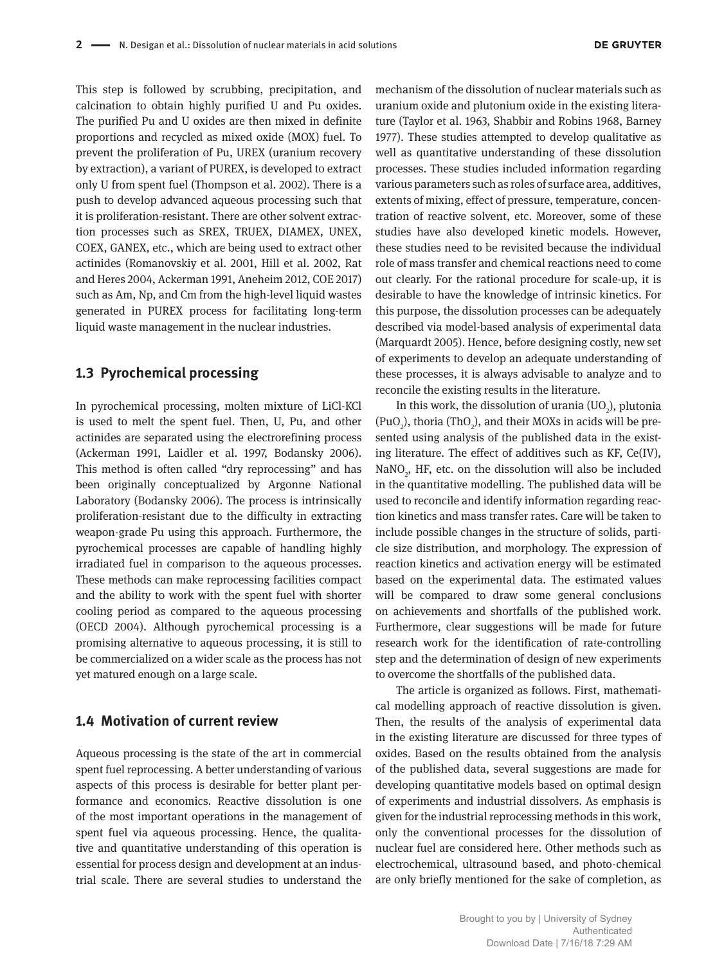This step is followed by scrubbing, precipitation, and calcination to obtain highly purified U and Pu oxides. The purified Pu and U oxides are then mixed in definite proportions and recycled as mixed oxide (MOX) fuel. To prevent the proliferation of Pu, UREX (uranium recovery by extraction), a variant of PUREX, is developed to extract only U from spent fuel (Thompson et al. 2002). There is a push to develop advanced aqueous processing such that it is proliferation-resistant. There are other solvent extraction processes such as SREX, TRUEX, DIAMEX, UNEX, COEX, GANEX, etc., which are being used to extract other actinides (Romanovskiy et al. 2001, Hill et al. 2002, Rat and Heres 2004, Ackerman 1991, Aneheim 2012, COE 2017) such as Am, Np, and Cm from the high-level liquid wastes generated in PUREX process for facilitating long-term liquid waste management in the nuclear industries.

### **1.3 Pyrochemical processing**

In pyrochemical processing, molten mixture of LiCl-KCl is used to melt the spent fuel. Then, U, Pu, and other actinides are separated using the electrorefining process (Ackerman 1991, Laidler et al. 1997, Bodansky 2006). This method is often called "dry reprocessing" and has been originally conceptualized by Argonne National Laboratory (Bodansky 2006). The process is intrinsically proliferation-resistant due to the difficulty in extracting weapon-grade Pu using this approach. Furthermore, the pyrochemical processes are capable of handling highly irradiated fuel in comparison to the aqueous processes. These methods can make reprocessing facilities compact and the ability to work with the spent fuel with shorter cooling period as compared to the aqueous processing (OECD 2004). Although pyrochemical processing is a promising alternative to aqueous processing, it is still to be commercialized on a wider scale as the process has not yet matured enough on a large scale.

#### **1.4 Motivation of current review**

Aqueous processing is the state of the art in commercial spent fuel reprocessing. A better understanding of various aspects of this process is desirable for better plant performance and economics. Reactive dissolution is one of the most important operations in the management of spent fuel via aqueous processing. Hence, the qualitative and quantitative understanding of this operation is essential for process design and development at an industrial scale. There are several studies to understand the

mechanism of the dissolution of nuclear materials such as uranium oxide and plutonium oxide in the existing literature (Taylor et al. 1963, Shabbir and Robins 1968, Barney 1977). These studies attempted to develop qualitative as well as quantitative understanding of these dissolution processes. These studies included information regarding various parameters such as roles of surface area, additives, extents of mixing, effect of pressure, temperature, concentration of reactive solvent, etc. Moreover, some of these studies have also developed kinetic models. However, these studies need to be revisited because the individual role of mass transfer and chemical reactions need to come out clearly. For the rational procedure for scale-up, it is desirable to have the knowledge of intrinsic kinetics. For this purpose, the dissolution processes can be adequately described via model-based analysis of experimental data (Marquardt 2005). Hence, before designing costly, new set of experiments to develop an adequate understanding of these processes, it is always advisable to analyze and to reconcile the existing results in the literature.

In this work, the dissolution of urania  $(UO<sub>2</sub>)$ , plutonia  $(Puo<sub>2</sub>)$ , thoria (ThO<sub>2</sub>), and their MOXs in acids will be presented using analysis of the published data in the existing literature. The effect of additives such as KF, Ce(IV), NaNO<sub>2</sub>, HF, etc. on the dissolution will also be included in the quantitative modelling. The published data will be used to reconcile and identify information regarding reaction kinetics and mass transfer rates. Care will be taken to include possible changes in the structure of solids, particle size distribution, and morphology. The expression of reaction kinetics and activation energy will be estimated based on the experimental data. The estimated values will be compared to draw some general conclusions on achievements and shortfalls of the published work. Furthermore, clear suggestions will be made for future research work for the identification of rate-controlling step and the determination of design of new experiments to overcome the shortfalls of the published data.

The article is organized as follows. First, mathematical modelling approach of reactive dissolution is given. Then, the results of the analysis of experimental data in the existing literature are discussed for three types of oxides. Based on the results obtained from the analysis of the published data, several suggestions are made for developing quantitative models based on optimal design of experiments and industrial dissolvers. As emphasis is given for the industrial reprocessing methods in this work, only the conventional processes for the dissolution of nuclear fuel are considered here. Other methods such as electrochemical, ultrasound based, and photo-chemical are only briefly mentioned for the sake of completion, as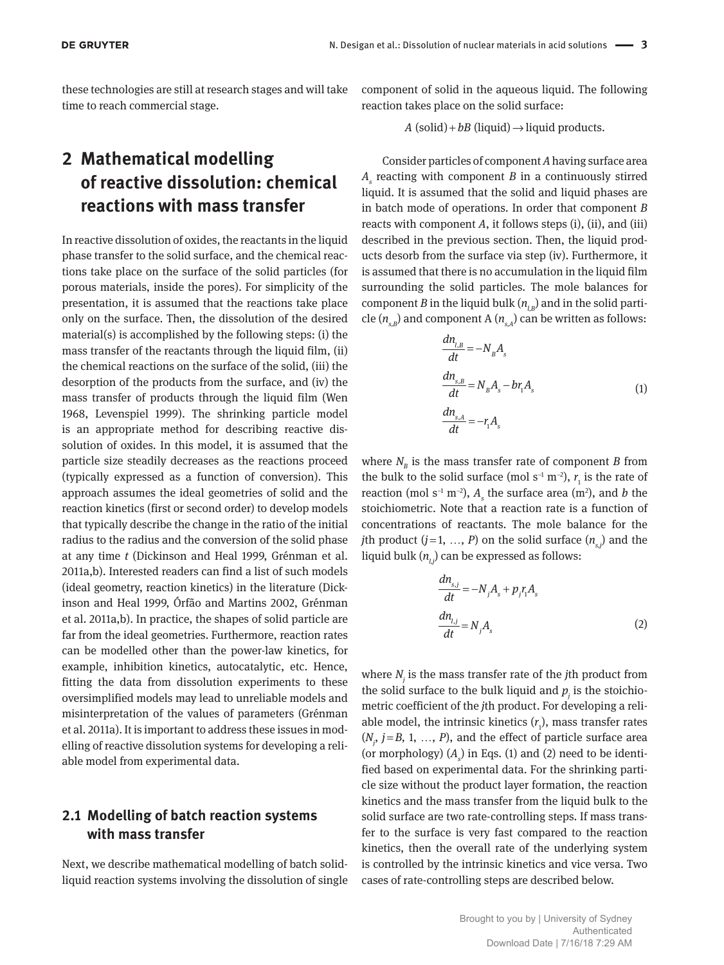these technologies are still at research stages and will take time to reach commercial stage.

## **2 Mathematical modelling of reactive dissolution: chemical reactions with mass transfer**

In reactive dissolution of oxides, the reactants in the liquid phase transfer to the solid surface, and the chemical reactions take place on the surface of the solid particles (for porous materials, inside the pores). For simplicity of the presentation, it is assumed that the reactions take place only on the surface. Then, the dissolution of the desired material(s) is accomplished by the following steps: (i) the mass transfer of the reactants through the liquid film, (ii) the chemical reactions on the surface of the solid, (iii) the desorption of the products from the surface, and (iv) the mass transfer of products through the liquid film (Wen 1968, Levenspiel 1999). The shrinking particle model is an appropriate method for describing reactive dissolution of oxides. In this model, it is assumed that the particle size steadily decreases as the reactions proceed (typically expressed as a function of conversion). This approach assumes the ideal geometries of solid and the reaction kinetics (first or second order) to develop models that typically describe the change in the ratio of the initial radius to the radius and the conversion of the solid phase at any time *t* (Dickinson and Heal 1999, Grénman et al. 2011a,b). Interested readers can find a list of such models (ideal geometry, reaction kinetics) in the literature (Dickinson and Heal 1999, Órfão and Martins 2002, Grénman et al. 2011a,b). In practice, the shapes of solid particle are far from the ideal geometries. Furthermore, reaction rates can be modelled other than the power-law kinetics, for example, inhibition kinetics, autocatalytic, etc. Hence, fitting the data from dissolution experiments to these oversimplified models may lead to unreliable models and misinterpretation of the values of parameters (Grénman et al. 2011a). It is important to address these issues in modelling of reactive dissolution systems for developing a reliable model from experimental data.

## **2.1 Modelling of batch reaction systems with mass transfer**

Next, we describe mathematical modelling of batch solidliquid reaction systems involving the dissolution of single component of solid in the aqueous liquid. The following reaction takes place on the solid surface:

 $A (solid) + bB (liquid) \rightarrow liquid$  products.

Consider particles of component *A* having surface area *As* reacting with component *B* in a continuously stirred liquid. It is assumed that the solid and liquid phases are in batch mode of operations. In order that component *B* reacts with component *A*, it follows steps (i), (ii), and (iii) described in the previous section. Then, the liquid products desorb from the surface via step (iv). Furthermore, it is assumed that there is no accumulation in the liquid film surrounding the solid particles. The mole balances for component *B* in the liquid bulk  $(n_{ijk})$  and in the solid particle  $(n_{_{\mathrm{s},B}})$  and component A  $(n_{_{\mathrm{s},A}})$  can be written as follows:

$$
\frac{dn_{l,B}}{dt} = -N_B A_s
$$
\n
$$
\frac{dn_{s,B}}{dt} = N_B A_s - br_1 A_s
$$
\n
$$
\frac{dn_{s,A}}{dt} = -r_1 A_s
$$
\n(1)

where  $N_{\text{B}}$  is the mass transfer rate of component *B* from the bulk to the solid surface (mol s<sup>-1</sup> m<sup>-2</sup>),  $r_1$  is the rate of reaction (mol s<sup>-1</sup> m<sup>-2</sup>),  $A<sub>s</sub>$  the surface area (m<sup>2</sup>), and *b* the stoichiometric. Note that a reaction rate is a function of concentrations of reactants. The mole balance for the *j*th product  $(j=1, ..., P)$  on the solid surface  $(n_{s,j})$  and the liquid bulk  $(n_i)$  can be expressed as follows:

$$
\frac{dn_{s,j}}{dt} = -N_j A_s + p_j r_i A_s
$$
\n
$$
\frac{dn_{l,j}}{dt} = N_j A_s
$$
\n(2)

where *N<sup>j</sup>* is the mass transfer rate of the *j*th product from the solid surface to the bulk liquid and  $p_j$  is the stoichiometric coefficient of the *j*th product. For developing a reliable model, the intrinsic kinetics  $(r_1)$ , mass transfer rates  $(N<sub>j</sub>, j = B, 1, ..., P)$ , and the effect of particle surface area (or morphology)  $(A<sub>s</sub>)$  in Eqs. (1) and (2) need to be identified based on experimental data. For the shrinking particle size without the product layer formation, the reaction kinetics and the mass transfer from the liquid bulk to the solid surface are two rate-controlling steps. If mass transfer to the surface is very fast compared to the reaction kinetics, then the overall rate of the underlying system is controlled by the intrinsic kinetics and vice versa. Two cases of rate-controlling steps are described below.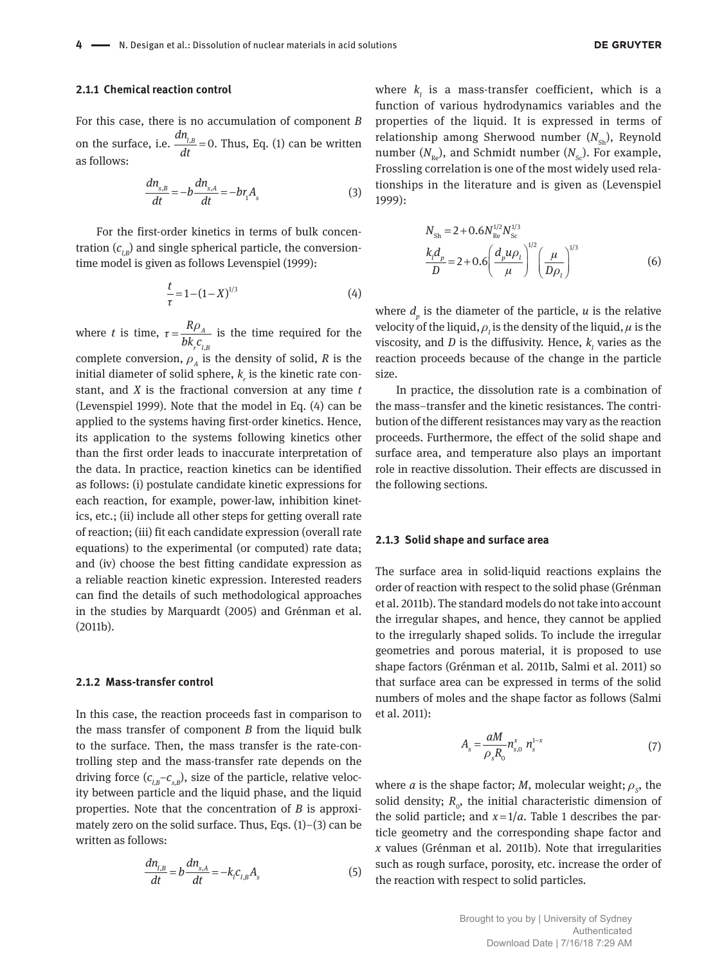#### **2.1.1 Chemical reaction control**

For this case, there is no accumulation of component *B* on the surface, i.e.  $\frac{dn_{l,B}}{dt} = 0$ . Thus, Eq. (1) can be written as follows:

$$
\frac{dn_{s,B}}{dt} = -b\frac{dn_{s,A}}{dt} = -br_1A_s\tag{3}
$$

For the first-order kinetics in terms of bulk concentration  $(c_{i,B})$  and single spherical particle, the conversiontime model is given as follows Levenspiel (1999):

$$
\frac{t}{\tau} = 1 - (1 - X)^{1/3} \tag{4}
$$

where *t* is time, , *A r l B R bk c*  $\tau = \frac{R\rho_A}{h\hbar c}$  is the time required for the complete conversion,  $\rho_A$  is the density of solid,  $R$  is the initial diameter of solid sphere,  $k_{\rho}$  is the kinetic rate constant, and *X* is the fractional conversion at any time *t* (Levenspiel 1999). Note that the model in Eq. (4) can be applied to the systems having first-order kinetics. Hence, its application to the systems following kinetics other than the first order leads to inaccurate interpretation of the data. In practice, reaction kinetics can be identified as follows: (i) postulate candidate kinetic expressions for each reaction, for example, power-law, inhibition kinetics, etc.; (ii) include all other steps for getting overall rate of reaction; (iii) fit each candidate expression (overall rate equations) to the experimental (or computed) rate data; and (iv) choose the best fitting candidate expression as a reliable reaction kinetic expression. Interested readers can find the details of such methodological approaches in the studies by Marquardt (2005) and Grénman et al. (2011b).

#### **2.1.2 Mass-transfer control**

In this case, the reaction proceeds fast in comparison to the mass transfer of component *B* from the liquid bulk to the surface. Then, the mass transfer is the rate-controlling step and the mass-transfer rate depends on the driving force  $(c_{l,B}-c_{s,B})$ , size of the particle, relative velocity between particle and the liquid phase, and the liquid properties. Note that the concentration of *B* is approximately zero on the solid surface. Thus, Eqs. (1)–(3) can be written as follows:

$$
\frac{dn_{l,B}}{dt} = b \frac{dn_{s,A}}{dt} = -k_l c_{l,B} A_s \tag{5}
$$

where  $k_i$  is a mass-transfer coefficient, which is a function of various hydrodynamics variables and the properties of the liquid. It is expressed in terms of relationship among Sherwood number  $(N_{\rm ch})$ , Reynold number  $(N_{n})$ , and Schmidt number  $(N_{n})$ . For example, Frossling correlation is one of the most widely used relationships in the literature and is given as (Levenspiel 1999):

$$
N_{\rm Sh} = 2 + 0.6 N_{\rm Re}^{1/2} N_{\rm Sc}^{1/3}
$$
  

$$
\frac{k_{\rm f} d_{\rm p}}{D} = 2 + 0.6 \left( \frac{d_{\rm p} u \rho_{\rm l}}{\mu} \right)^{1/2} \left( \frac{\mu}{D \rho_{\rm l}} \right)^{1/3}
$$
(6)

where *d<sup>p</sup>* is the diameter of the particle, *u* is the relative velocity of the liquid,  $\rho_{l}$  is the density of the liquid,  $\mu$  is the viscosity, and *D* is the diffusivity. Hence,  $k_i$  varies as the reaction proceeds because of the change in the particle size.

In practice, the dissolution rate is a combination of the mass–transfer and the kinetic resistances. The contribution of the different resistances may vary as the reaction proceeds. Furthermore, the effect of the solid shape and surface area, and temperature also plays an important role in reactive dissolution. Their effects are discussed in the following sections.

#### **2.1.3 Solid shape and surface area**

The surface area in solid-liquid reactions explains the order of reaction with respect to the solid phase (Grénman et al. 2011b). The standard models do not take into account the irregular shapes, and hence, they cannot be applied to the irregularly shaped solids. To include the irregular geometries and porous material, it is proposed to use shape factors (Grénman et al. 2011b, Salmi et al. 2011) so that surface area can be expressed in terms of the solid numbers of moles and the shape factor as follows (Salmi et al. 2011):

$$
A_s = \frac{aM}{\rho_s R_0} n_{s,0}^x n_s^{1-x}
$$
 (7)

where *a* is the shape factor; *M*, molecular weight;  $\rho_s$ , the solid density;  $R_{0}$ , the initial characteristic dimension of the solid particle; and  $x=1/a$ . Table 1 describes the particle geometry and the corresponding shape factor and *x* values (Grénman et al. 2011b). Note that irregularities such as rough surface, porosity, etc. increase the order of the reaction with respect to solid particles.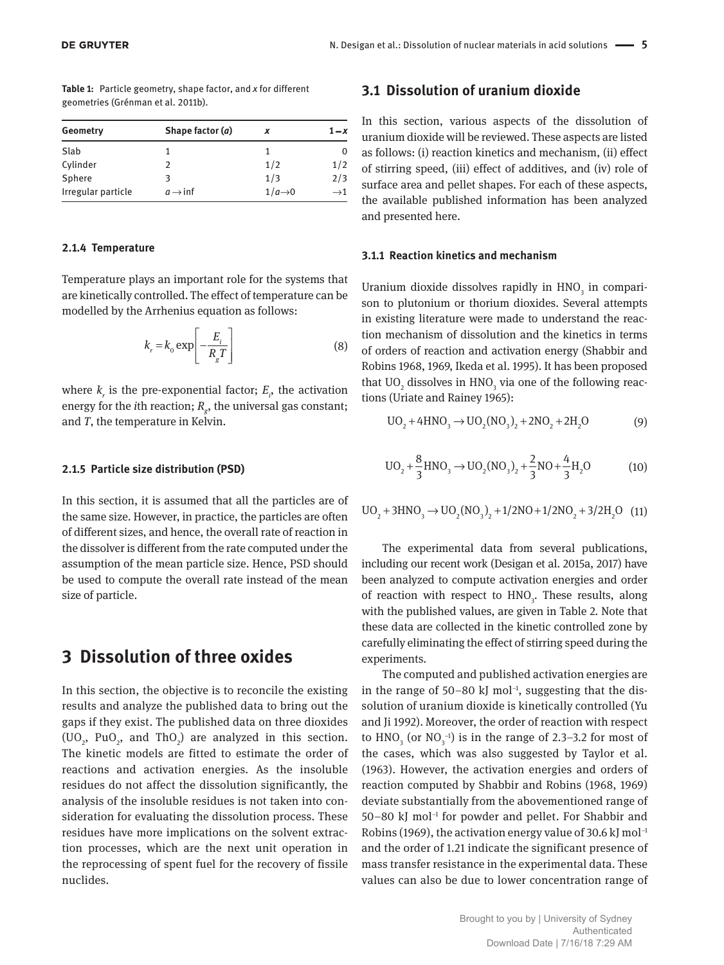| Table 1: Particle geometry, shape factor, and x for different |  |
|---------------------------------------------------------------|--|
| geometries (Grénman et al. 2011b).                            |  |

| Geometry           | Shape factor (a)     | x                  | $1-x$           |
|--------------------|----------------------|--------------------|-----------------|
| Slab               |                      |                    | 0               |
| Cylinder           | 2                    | 1/2                | 1/2             |
| Sphere             | З                    | 1/3                | 2/3             |
| Irregular particle | $a \rightarrow \inf$ | $1/a\rightarrow 0$ | $\rightarrow$ 1 |

#### **2.1.4 Temperature**

Temperature plays an important role for the systems that are kinetically controlled. The effect of temperature can be modelled by the Arrhenius equation as follows:

$$
k_r = k_0 \exp\left[-\frac{E_i}{R_g T}\right]
$$
 (8)

where  $k<sub>r</sub>$  is the pre-exponential factor;  $E<sub>r</sub>$ , the activation energy for the *i*th reaction; *R<sup>g</sup>* , the universal gas constant; and *T*, the temperature in Kelvin.

#### **2.1.5 Particle size distribution (PSD)**

In this section, it is assumed that all the particles are of the same size. However, in practice, the particles are often of different sizes, and hence, the overall rate of reaction in the dissolver is different from the rate computed under the assumption of the mean particle size. Hence, PSD should be used to compute the overall rate instead of the mean size of particle.

## **3 Dissolution of three oxides**

In this section, the objective is to reconcile the existing results and analyze the published data to bring out the gaps if they exist. The published data on three dioxides (UO<sub>2</sub>, PuO<sub>2</sub>, and ThO<sub>2</sub>) are analyzed in this section. The kinetic models are fitted to estimate the order of reactions and activation energies. As the insoluble residues do not affect the dissolution significantly, the analysis of the insoluble residues is not taken into consideration for evaluating the dissolution process. These residues have more implications on the solvent extraction processes, which are the next unit operation in the reprocessing of spent fuel for the recovery of fissile nuclides.

#### **3.1 Dissolution of uranium dioxide**

In this section, various aspects of the dissolution of uranium dioxide will be reviewed. These aspects are listed as follows: (i) reaction kinetics and mechanism, (ii) effect of stirring speed, (iii) effect of additives, and (iv) role of surface area and pellet shapes. For each of these aspects, the available published information has been analyzed and presented here.

#### **3.1.1 Reaction kinetics and mechanism**

Uranium dioxide dissolves rapidly in  $HNO<sub>3</sub>$  in comparison to plutonium or thorium dioxides. Several attempts in existing literature were made to understand the reaction mechanism of dissolution and the kinetics in terms of orders of reaction and activation energy (Shabbir and Robins 1968, 1969, Ikeda et al. 1995). It has been proposed that  $\rm UO_{_2}$  dissolves in  $\rm HNO_{_3}$  via one of the following reactions (Uriate and Rainey 1965):

$$
UO_2 + 4HNO_3 \rightarrow UO_2(NO_3)_2 + 2NO_2 + 2H_2O
$$
 (9)

$$
UO_2 + \frac{8}{3}HNO_3 \rightarrow UO_2(NO_3)_2 + \frac{2}{3}NO + \frac{4}{3}H_2O
$$
 (10)

$$
UO_2 + 3HNO_3 \rightarrow UO_2(NO_3)_2 + 1/2NO + 1/2NO_2 + 3/2H_2O \quad (11)
$$

The experimental data from several publications, including our recent work (Desigan et al. 2015a, 2017) have been analyzed to compute activation energies and order of reaction with respect to  $HNO<sub>3</sub>$ . These results, along with the published values, are given in Table 2. Note that these data are collected in the kinetic controlled zone by carefully eliminating the effect of stirring speed during the experiments.

The computed and published activation energies are in the range of 50–80 kJ mol<sup>-1</sup>, suggesting that the dissolution of uranium dioxide is kinetically controlled (Yu and Ji 1992). Moreover, the order of reaction with respect to  $HNO<sub>3</sub>$  (or  $NO<sub>3</sub><sup>-1</sup>$ ) is in the range of 2.3–3.2 for most of the cases, which was also suggested by Taylor et al. (1963). However, the activation energies and orders of reaction computed by Shabbir and Robins (1968, 1969) deviate substantially from the abovementioned range of 50–80 kJ mol−1 for powder and pellet. For Shabbir and Robins (1969), the activation energy value of 30.6 kJ mol<sup>-1</sup> and the order of 1.21 indicate the significant presence of mass transfer resistance in the experimental data. These values can also be due to lower concentration range of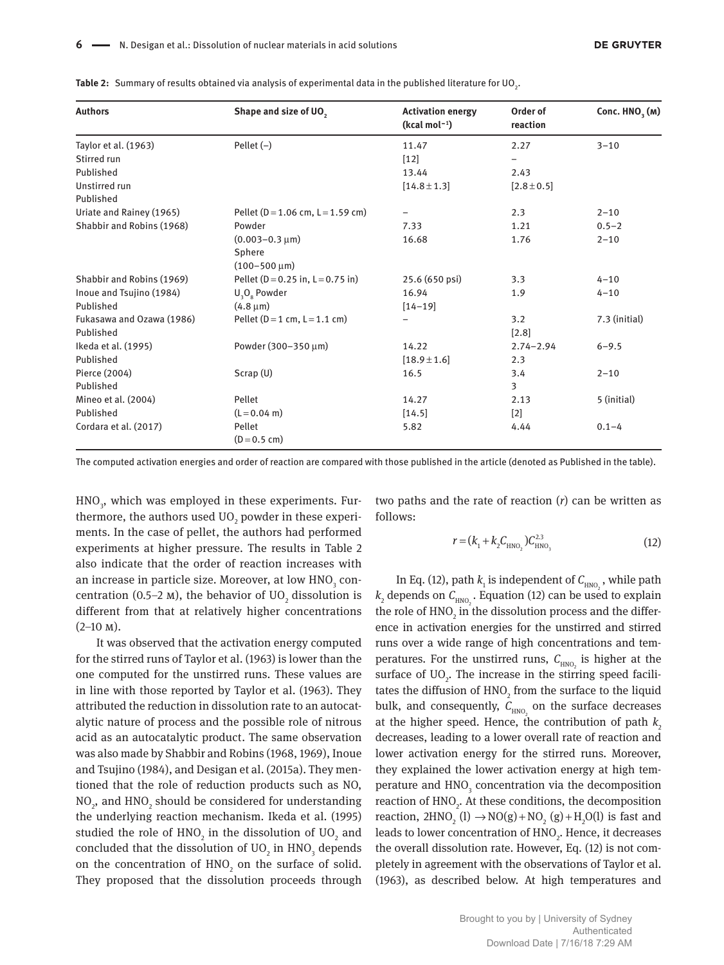| Table 2: Summary of results obtained via analysis of experimental data in the published literature for UO <sub>2</sub> . |  |  |
|--------------------------------------------------------------------------------------------------------------------------|--|--|
|--------------------------------------------------------------------------------------------------------------------------|--|--|

| <b>Authors</b>            | Shape and size of UO,                  | <b>Activation energy</b><br>$(kcal mol-1)$ | Order of<br>reaction | Conc. HNO <sub>3</sub> (M) |
|---------------------------|----------------------------------------|--------------------------------------------|----------------------|----------------------------|
| Taylor et al. (1963)      | Pellet $(-)$                           | 11.47                                      | 2.27                 | $3 - 10$                   |
| Stirred run               |                                        | $[12]$                                     |                      |                            |
| Published                 |                                        | 13.44                                      | 2.43                 |                            |
| Unstirred run             |                                        | $[14.8 \pm 1.3]$                           | $[2.8 \pm 0.5]$      |                            |
| Published                 |                                        |                                            |                      |                            |
| Uriate and Rainey (1965)  | Pellet ( $D = 1.06$ cm, $L = 1.59$ cm) | -                                          | 2.3                  | $2 - 10$                   |
| Shabbir and Robins (1968) | Powder                                 | 7.33                                       | 1.21                 | $0.5 - 2$                  |
|                           | $(0.003 - 0.3 \,\mu m)$                | 16.68                                      | 1.76                 | $2 - 10$                   |
|                           | Sphere                                 |                                            |                      |                            |
|                           | $(100 - 500 \,\mu m)$                  |                                            |                      |                            |
| Shabbir and Robins (1969) | Pellet ( $D = 0.25$ in, $L = 0.75$ in) | 25.6 (650 psi)                             | 3.3                  | $4 - 10$                   |
| Inoue and Tsujino (1984)  | $U_3O_8$ Powder                        | 16.94                                      | 1.9                  | $4 - 10$                   |
| Published                 | $(4.8 \,\mu m)$                        | $[14 - 19]$                                |                      |                            |
| Fukasawa and Ozawa (1986) | Pellet ( $D = 1$ cm, $L = 1.1$ cm)     |                                            | 3.2                  | 7.3 (initial)              |
| Published                 |                                        |                                            | [2.8]                |                            |
| Ikeda et al. (1995)       | Powder (300-350 μm)                    | 14.22                                      | $2.74 - 2.94$        | $6 - 9.5$                  |
| Published                 |                                        | $[18.9 \pm 1.6]$                           | 2.3                  |                            |
| Pierce (2004)             | Scrap(U)                               | 16.5                                       | 3.4                  | $2 - 10$                   |
| Published                 |                                        |                                            | 3                    |                            |
| Mineo et al. (2004)       | Pellet                                 | 14.27                                      | 2.13                 | 5 (initial)                |
| Published                 | $(L = 0.04$ m)                         | [14.5]                                     | $[2]$                |                            |
| Cordara et al. (2017)     | Pellet<br>$(D = 0.5$ cm)               | 5.82                                       | 4.44                 | $0.1 - 4$                  |

The computed activation energies and order of reaction are compared with those published in the article (denoted as Published in the table).

 $\rm HNO_{_3}$ , which was employed in these experiments. Furthermore, the authors used  $\rm UO_{_2}$  powder in these experiments. In the case of pellet, the authors had performed experiments at higher pressure. The results in Table 2 also indicate that the order of reaction increases with an increase in particle size. Moreover, at low  $\mathrm{HNO}_{_3}$  concentration (0.5–2 m), the behavior of UO<sub>2</sub> dissolution is different from that at relatively higher concentrations  $(2-10 \text{ M}).$ 

It was observed that the activation energy computed for the stirred runs of Taylor et al. (1963) is lower than the one computed for the unstirred runs. These values are in line with those reported by Taylor et al. (1963). They attributed the reduction in dissolution rate to an autocatalytic nature of process and the possible role of nitrous acid as an autocatalytic product. The same observation was also made by Shabbir and Robins (1968, 1969), Inoue and Tsujino (1984), and Desigan et al. (2015a). They mentioned that the role of reduction products such as NO,  $\mathrm{NO}_2$ , and  $\mathrm{HNO}_2$  should be considered for understanding the underlying reaction mechanism. Ikeda et al. (1995) studied the role of  $\mathrm{HNO}_2$  in the dissolution of  $\mathrm{UO}_2$  and concluded that the dissolution of  $\rm UO_2$  in  $\rm HNO_3$  depends on the concentration of  $HNO<sub>2</sub>$  on the surface of solid. They proposed that the dissolution proceeds through

two paths and the rate of reaction (*r*) can be written as follows:

$$
r = (k_1 + k_2 C_{\text{HNO}_2}) C_{\text{HNO}_3}^{2.3}
$$
 (12)

In Eq. (12), path  $k_1$  is independent of  $C_{HNO}$ , while path  $k_2$  depends on  $C_{HNO}$ . Equation (12) can be used to explain the role of  $HNO<sub>2</sub>$  in the dissolution process and the difference in activation energies for the unstirred and stirred runs over a wide range of high concentrations and temperatures. For the unstirred runs,  $C_{HNO<sub>2</sub>}$  is higher at the surface of  $UO<sub>2</sub>$ . The increase in the stirring speed facilitates the diffusion of  $HNO<sub>2</sub>$  from the surface to the liquid bulk, and consequently,  $C_{HNO<sub>2</sub>}$  on the surface decreases at the higher speed. Hence, the contribution of path  $k_2$ decreases, leading to a lower overall rate of reaction and lower activation energy for the stirred runs. Moreover, they explained the lower activation energy at high temperature and  $HNO<sub>3</sub>$  concentration via the decomposition reaction of  $HNO<sub>2</sub>$ . At these conditions, the decomposition reaction,  $2HNO_2 (l) \rightarrow NO(g) + NO_2 (g) + H_2O(l)$  is fast and leads to lower concentration of  $\mathrm{HNO}_{2}$ . Hence, it decreases the overall dissolution rate. However, Eq. (12) is not completely in agreement with the observations of Taylor et al. (1963), as described below. At high temperatures and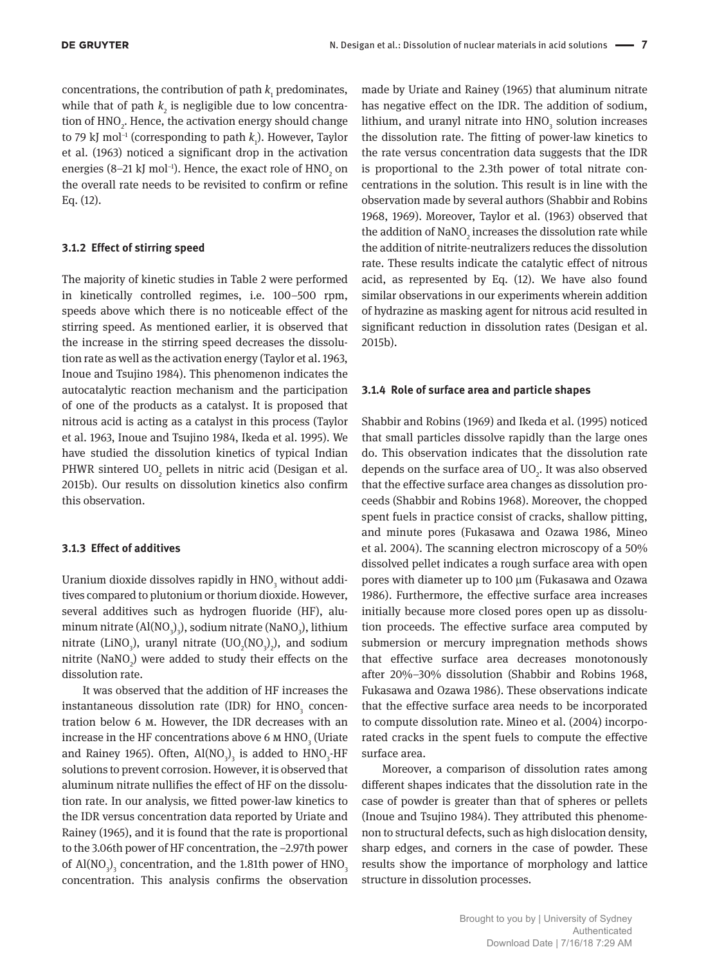concentrations, the contribution of path  $k_1$  predominates, while that of path  $k_{2}$  is negligible due to low concentration of  $HNO<sub>2</sub>$ . Hence, the activation energy should change to 79 kJ mol<sup>-1</sup> (corresponding to path *k*<sub>1</sub>). However, Taylor et al. (1963) noticed a significant drop in the activation energies (8–21 kJ mol<sup>-1</sup>). Hence, the exact role of  $\mathrm{HNO}_2$  on the overall rate needs to be revisited to confirm or refine Eq. (12).

#### **3.1.2 Effect of stirring speed**

The majority of kinetic studies in Table 2 were performed in kinetically controlled regimes, i.e. 100–500 rpm, speeds above which there is no noticeable effect of the stirring speed. As mentioned earlier, it is observed that the increase in the stirring speed decreases the dissolution rate as well as the activation energy (Taylor et al. 1963, Inoue and Tsujino 1984). This phenomenon indicates the autocatalytic reaction mechanism and the participation of one of the products as a catalyst. It is proposed that nitrous acid is acting as a catalyst in this process (Taylor et al. 1963, Inoue and Tsujino 1984, Ikeda et al. 1995). We have studied the dissolution kinetics of typical Indian PHWR sintered  $UO<sub>2</sub>$  pellets in nitric acid (Desigan et al. 2015b). Our results on dissolution kinetics also confirm this observation.

#### **3.1.3 Effect of additives**

Uranium dioxide dissolves rapidly in  $\mathrm{HNO}_3^{}$  without additives compared to plutonium or thorium dioxide. However, several additives such as hydrogen fluoride (HF), aluminum nitrate (Al(NO<sub>3</sub>)<sub>3</sub>), sodium nitrate (NaNO<sub>3</sub>), lithium nitrate (LiNO<sub>3</sub>), uranyl nitrate (UO<sub>2</sub>(NO<sub>3</sub>)<sub>2</sub>), and sodium nitrite  $(NaNO<sub>2</sub>)$  were added to study their effects on the dissolution rate.

It was observed that the addition of HF increases the instantaneous dissolution rate (IDR) for  $HNO<sub>3</sub>$  concentration below 6 m. However, the IDR decreases with an increase in the HF concentrations above 6 m  $\mathrm{HNO}_{_{\mathrm{3}}}$  (Uriate and Rainey 1965). Often,  $\text{Al}(\text{NO}_3)$ <sub>3</sub> is added to  $\text{HNO}_3$ -HF solutions to prevent corrosion. However, it is observed that aluminum nitrate nullifies the effect of HF on the dissolution rate. In our analysis, we fitted power-law kinetics to the IDR versus concentration data reported by Uriate and Rainey (1965), and it is found that the rate is proportional to the 3.06th power of HF concentration, the −2.97th power of  $\text{Al}(\text{NO}_3)$ <sub>3</sub> concentration, and the 1.81th power of  $\text{HNO}_3$ concentration. This analysis confirms the observation

made by Uriate and Rainey (1965) that aluminum nitrate has negative effect on the IDR. The addition of sodium, lithium, and uranyl nitrate into  $\mathrm{HNO}_{\mathfrak{z}}$  solution increases the dissolution rate. The fitting of power-law kinetics to the rate versus concentration data suggests that the IDR is proportional to the 2.3th power of total nitrate concentrations in the solution. This result is in line with the observation made by several authors (Shabbir and Robins 1968, 1969). Moreover, Taylor et al. (1963) observed that the addition of  $\text{NaNO}_2$  increases the dissolution rate while the addition of nitrite-neutralizers reduces the dissolution rate. These results indicate the catalytic effect of nitrous acid, as represented by Eq. (12). We have also found similar observations in our experiments wherein addition of hydrazine as masking agent for nitrous acid resulted in significant reduction in dissolution rates (Desigan et al. 2015b).

#### **3.1.4 Role of surface area and particle shapes**

Shabbir and Robins (1969) and Ikeda et al. (1995) noticed that small particles dissolve rapidly than the large ones do. This observation indicates that the dissolution rate depends on the surface area of  $UO<sub>2</sub>$ . It was also observed that the effective surface area changes as dissolution proceeds (Shabbir and Robins 1968). Moreover, the chopped spent fuels in practice consist of cracks, shallow pitting, and minute pores (Fukasawa and Ozawa 1986, Mineo et al. 2004). The scanning electron microscopy of a 50% dissolved pellet indicates a rough surface area with open pores with diameter up to 100 µm (Fukasawa and Ozawa 1986). Furthermore, the effective surface area increases initially because more closed pores open up as dissolution proceeds. The effective surface area computed by submersion or mercury impregnation methods shows that effective surface area decreases monotonously after 20%–30% dissolution (Shabbir and Robins 1968, Fukasawa and Ozawa 1986). These observations indicate that the effective surface area needs to be incorporated to compute dissolution rate. Mineo et al. (2004) incorporated cracks in the spent fuels to compute the effective surface area.

Moreover, a comparison of dissolution rates among different shapes indicates that the dissolution rate in the case of powder is greater than that of spheres or pellets (Inoue and Tsujino 1984). They attributed this phenomenon to structural defects, such as high dislocation density, sharp edges, and corners in the case of powder. These results show the importance of morphology and lattice structure in dissolution processes.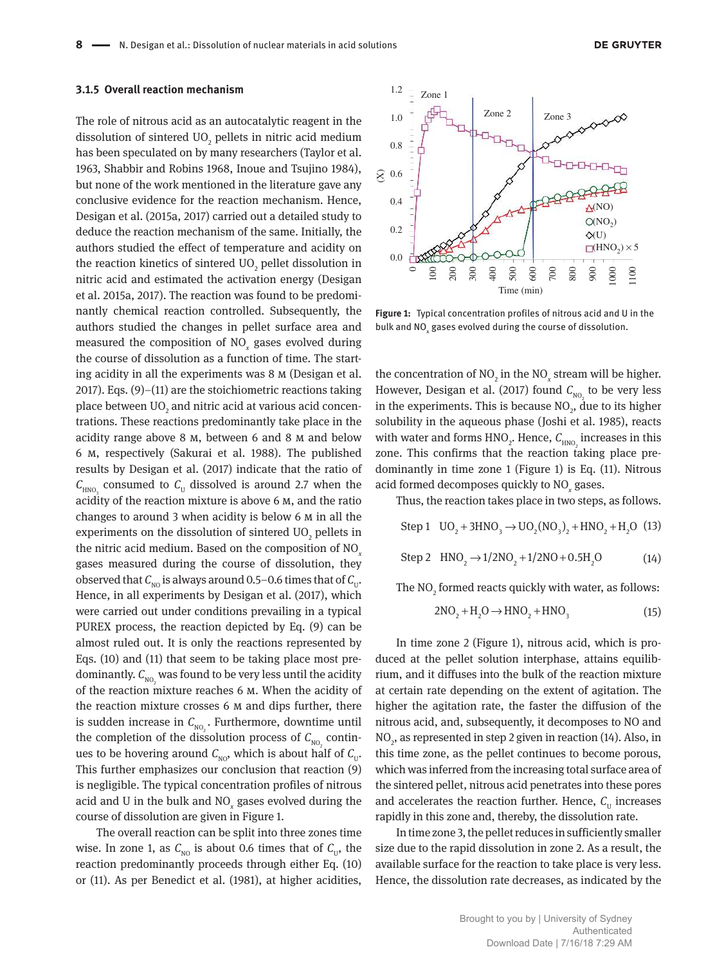#### **3.1.5 Overall reaction mechanism**

The role of nitrous acid as an autocatalytic reagent in the dissolution of sintered  $\rm{UO}_{2}$  pellets in nitric acid medium has been speculated on by many researchers (Taylor et al. 1963, Shabbir and Robins 1968, Inoue and Tsujino 1984), but none of the work mentioned in the literature gave any conclusive evidence for the reaction mechanism. Hence, Desigan et al. (2015a, 2017) carried out a detailed study to deduce the reaction mechanism of the same. Initially, the authors studied the effect of temperature and acidity on the reaction kinetics of sintered  $\rm{UO}_{2}$  pellet dissolution in nitric acid and estimated the activation energy (Desigan et al. 2015a, 2017). The reaction was found to be predominantly chemical reaction controlled. Subsequently, the authors studied the changes in pellet surface area and measured the composition of NO*<sup>x</sup>* gases evolved during the course of dissolution as a function of time. The starting acidity in all the experiments was 8 m (Desigan et al. 2017). Eqs. (9)–(11) are the stoichiometric reactions taking place between UO $_{{}_2}$  and nitric acid at various acid concentrations. These reactions predominantly take place in the acidity range above 8 m, between 6 and 8 m and below 6 m, respectively (Sakurai et al. 1988). The published results by Desigan et al. (2017) indicate that the ratio of  $C_{HNO<sub>3</sub>}$  consumed to  $C_{\text{U}}$  dissolved is around 2.7 when the acidity of the reaction mixture is above 6 m, and the ratio changes to around 3 when acidity is below 6 m in all the experiments on the dissolution of sintered  $\rm UO_{_2}$  pellets in the nitric acid medium. Based on the composition of NO*<sup>x</sup>* gases measured during the course of dissolution, they observed that  $\mathcal{C}_\text{\tiny NO}$  is always around 0.5–0.6 times that of  $\mathcal{C}_\text{\tiny U}.$ Hence, in all experiments by Desigan et al. (2017), which were carried out under conditions prevailing in a typical PUREX process, the reaction depicted by Eq. (9) can be almost ruled out. It is only the reactions represented by Eqs. (10) and (11) that seem to be taking place most predominantly.  $\mathcal{C}_{_{\mathrm{NO},}}$  was found to be very less until the acidity of the reaction mixture reaches 6  $\mu$ . When the acidity of the reaction mixture crosses 6 m and dips further, there is sudden increase in  $\mathcal{C}_{_{\mathrm{NO},\cdot}}$ . Furthermore, downtime until the completion of the dissolution process of  $C_{N_0}$  continues to be hovering around  $C_{\text{NO}}$ , which is about half of  $C_{\text{U}}$ . This further emphasizes our conclusion that reaction (9) is negligible. The typical concentration profiles of nitrous acid and U in the bulk and NO*<sup>x</sup>* gases evolved during the course of dissolution are given in Figure 1.

The overall reaction can be split into three zones time wise. In zone 1, as  $C_{\text{NO}}$  is about 0.6 times that of  $C_{\text{U}}$ , the reaction predominantly proceeds through either Eq. (10) or (11). As per Benedict et al. (1981), at higher acidities,



**Figure 1:** Typical concentration profiles of nitrous acid and U in the bulk and NO $_{\mathrm{x}}$  gases evolved during the course of dissolution.

the concentration of  $NO_2$  in the  $NO_x$  stream will be higher. However, Desigan et al. (2017) found  $C_{_{\mathrm{NO}_2}}$  to be very less in the experiments. This is because  $NO<sub>2</sub>$ , due to its higher solubility in the aqueous phase (Joshi et al. 1985), reacts with water and forms  $HNO<sub>2</sub>$ . Hence,  $C<sub>HNO<sub>2</sub></sub>$  increases in this zone. This confirms that the reaction taking place predominantly in time zone 1 (Figure 1) is Eq. (11). Nitrous acid formed decomposes quickly to NO*<sup>x</sup>* gases.

Thus, the reaction takes place in two steps, as follows.

Step 1  $UO_2 + 3HNO_3 \rightarrow UO_2(NO_3)_2 + HNO_2 + H_2O$  (13)

 $Step 2 \quad HNO_2 \rightarrow 1/2NO_2 + 1/2NO + 0.5H_2O$  (14)

The  $\rm NO_2$  formed reacts quickly with water, as follows:

$$
2NO2 + H2O \rightarrow HNO2 + HNO3
$$
 (15)

In time zone 2 (Figure 1), nitrous acid, which is produced at the pellet solution interphase, attains equilibrium, and it diffuses into the bulk of the reaction mixture at certain rate depending on the extent of agitation. The higher the agitation rate, the faster the diffusion of the nitrous acid, and, subsequently, it decomposes to NO and NO<sub>2</sub>, as represented in step 2 given in reaction (14). Also, in this time zone, as the pellet continues to become porous, which was inferred from the increasing total surface area of the sintered pellet, nitrous acid penetrates into these pores and accelerates the reaction further. Hence,  $C_{\text{U}}$  increases rapidly in this zone and, thereby, the dissolution rate.

In time zone 3, the pellet reduces in sufficiently smaller size due to the rapid dissolution in zone 2. As a result, the available surface for the reaction to take place is very less. Hence, the dissolution rate decreases, as indicated by the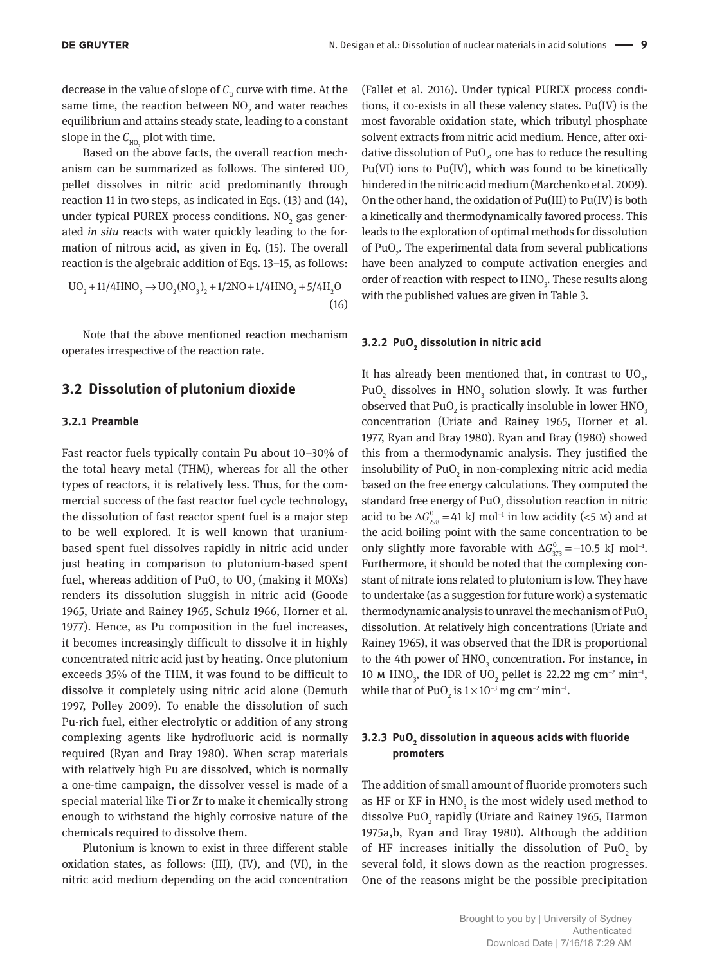decrease in the value of slope of  $C_{\text{U}}$  curve with time. At the same time, the reaction between  $NO_2$  and water reaches equilibrium and attains steady state, leading to a constant slope in the  $C_{_{\rm NO,}}$  plot with time.

Based on the above facts, the overall reaction mechanism can be summarized as follows. The sintered  $UO<sub>2</sub>$ pellet dissolves in nitric acid predominantly through reaction 11 in two steps, as indicated in Eqs. (13) and (14), under typical PUREX process conditions.  $NO<sub>2</sub>$  gas generated *in situ* reacts with water quickly leading to the formation of nitrous acid, as given in Eq. (15). The overall reaction is the algebraic addition of Eqs. 13–15, as follows:

$$
UO_2 + 11/4HNO_3 \rightarrow UO_2(NO_3)_2 + 1/2NO + 1/4HNO_2 + 5/4H_2O
$$
\n(16)

Note that the above mentioned reaction mechanism operates irrespective of the reaction rate.

#### **3.2 Dissolution of plutonium dioxide**

#### **3.2.1 Preamble**

Fast reactor fuels typically contain Pu about 10–30% of the total heavy metal (THM), whereas for all the other types of reactors, it is relatively less. Thus, for the commercial success of the fast reactor fuel cycle technology, the dissolution of fast reactor spent fuel is a major step to be well explored. It is well known that uraniumbased spent fuel dissolves rapidly in nitric acid under just heating in comparison to plutonium-based spent fuel, whereas addition of PuO<sub>2</sub> to UO<sub>2</sub> (making it MOXs) renders its dissolution sluggish in nitric acid (Goode 1965, Uriate and Rainey 1965, Schulz 1966, Horner et al. 1977). Hence, as Pu composition in the fuel increases, it becomes increasingly difficult to dissolve it in highly concentrated nitric acid just by heating. Once plutonium exceeds 35% of the THM, it was found to be difficult to dissolve it completely using nitric acid alone (Demuth 1997, Polley 2009). To enable the dissolution of such Pu-rich fuel, either electrolytic or addition of any strong complexing agents like hydrofluoric acid is normally required (Ryan and Bray 1980). When scrap materials with relatively high Pu are dissolved, which is normally a one-time campaign, the dissolver vessel is made of a special material like Ti or Zr to make it chemically strong enough to withstand the highly corrosive nature of the chemicals required to dissolve them.

Plutonium is known to exist in three different stable oxidation states, as follows: (III), (IV), and (VI), in the nitric acid medium depending on the acid concentration

(Fallet et al. 2016). Under typical PUREX process conditions, it co-exists in all these valency states. Pu(IV) is the most favorable oxidation state, which tributyl phosphate solvent extracts from nitric acid medium. Hence, after oxidative dissolution of PuO<sub>2</sub>, one has to reduce the resulting Pu(VI) ions to Pu(IV), which was found to be kinetically hindered in the nitric acid medium (Marchenko et al. 2009). On the other hand, the oxidation of Pu(III) to Pu(IV) is both a kinetically and thermodynamically favored process. This leads to the exploration of optimal methods for dissolution of  $PuO<sub>2</sub>$ . The experimental data from several publications have been analyzed to compute activation energies and order of reaction with respect to  $\text{HNO}_3$ . These results along with the published values are given in Table 3.

### **3.2.2 PuO<sup>2</sup> dissolution in nitric acid**

It has already been mentioned that, in contrast to  $UO<sub>2</sub>$ , PuO<sub>2</sub> dissolves in  $HNO<sub>3</sub>$  solution slowly. It was further observed that PuO<sub>2</sub> is practically insoluble in lower  $HNO<sub>3</sub>$ concentration (Uriate and Rainey 1965, Horner et al. 1977, Ryan and Bray 1980). Ryan and Bray (1980) showed this from a thermodynamic analysis. They justified the insolubility of  $PuO<sub>2</sub>$  in non-complexing nitric acid media based on the free energy calculations. They computed the standard free energy of PuO $_2$  dissolution reaction in nitric acid to be  $\Delta G_{.298}^{0} = 41 \text{ kJ} \text{ mol}^{-1}$  in low acidity (<5 M) and at the acid boiling point with the same concentration to be only slightly more favorable with  $\Delta G_{373}^{\circ} = -10.5$  kJ mol<sup>-1</sup>. Furthermore, it should be noted that the complexing constant of nitrate ions related to plutonium is low. They have to undertake (as a suggestion for future work) a systematic thermodynamic analysis to unravel the mechanism of  $PuO<sub>2</sub>$ dissolution. At relatively high concentrations (Uriate and Rainey 1965), it was observed that the IDR is proportional to the 4th power of  $HNO<sub>3</sub>$  concentration. For instance, in 10 M HNO<sub>3</sub>, the IDR of UO<sub>2</sub> pellet is 22.22 mg cm<sup>-2</sup> min<sup>-1</sup>, while that of PuO<sub>2</sub> is  $1\times10^{-3}$  mg cm<sup>-2</sup> min<sup>-1</sup>.

#### **3.2.3 PuO<sup>2</sup> dissolution in aqueous acids with fluoride promoters**

The addition of small amount of fluoride promoters such as HF or KF in  $\mathrm{HNO}_3$  is the most widely used method to dissolve Pu $0_{_2}$  rapidly (Uriate and Rainey 1965, Harmon 1975a,b, Ryan and Bray 1980). Although the addition of HF increases initially the dissolution of  $PuO<sub>2</sub>$  by several fold, it slows down as the reaction progresses. One of the reasons might be the possible precipitation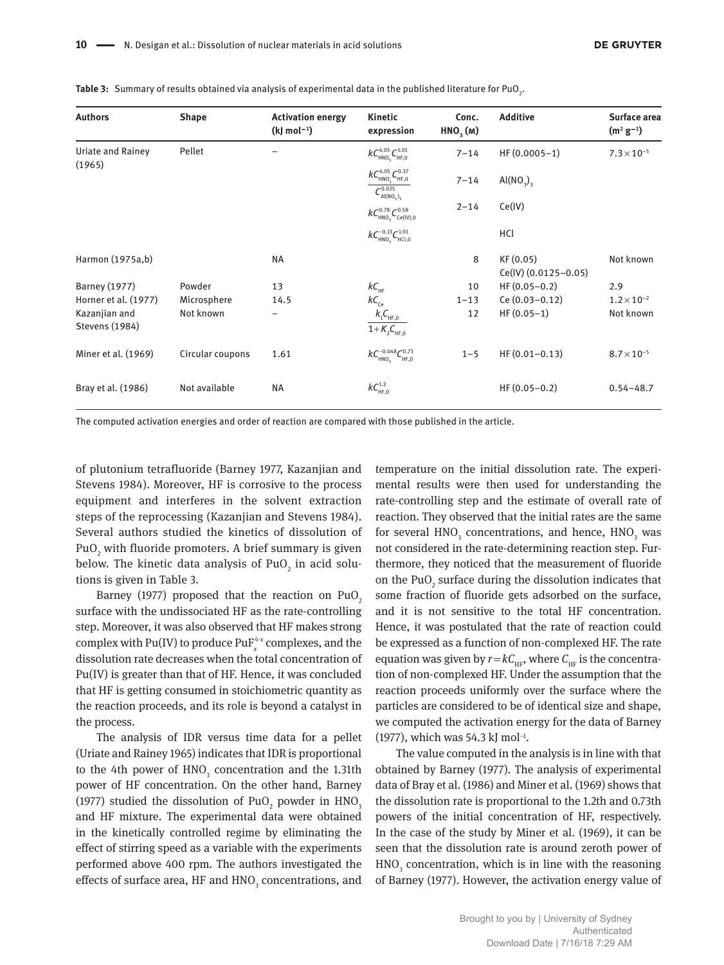| <b>Authors</b>                         | <b>Shape</b>     | <b>Activation energy</b><br>$(k)$ mol <sup>-1</sup> ) | Kinetic<br>expression                                                                                | Conc.<br>HNO <sub>3</sub> (M) | <b>Additive</b>                   | Surface area<br>$(m^2 g^{-1})$ |
|----------------------------------------|------------------|-------------------------------------------------------|------------------------------------------------------------------------------------------------------|-------------------------------|-----------------------------------|--------------------------------|
| Uriate and Rainey                      | Pellet           |                                                       | $kC_{\text{HNO}_3}^{4.05}C_{\text{HF},0}^{1.01}$                                                     | $7 - 14$                      | $HF(0.0005-1)$                    | $7.3 \times 10^{-5}$           |
| (1965)                                 |                  |                                                       | $kC_{\text{HNO}_3}^{4.05}C_{\text{HF},0}^{0.37}$<br>$C^{0.025}$<br>Al(NO <sub>3</sub> ) <sub>3</sub> | $7 - 14$                      | AI(NO <sub>3</sub> ) <sub>3</sub> |                                |
|                                        |                  |                                                       | $kC_{\text{HNO}_3}^{0.78}C_{\text{Ce(IV)},0}^{0.58}$                                                 | $2 - 14$                      | Ce(IV)                            |                                |
|                                        |                  |                                                       | $kC_{HNO_3}^{-0.13}C_{HCl,0}^{1.01}$                                                                 |                               | HCl                               |                                |
| Harmon (1975a,b)                       |                  | <b>NA</b>                                             |                                                                                                      | 8                             | KF (0.05)<br>Ce(IV) (0.0125-0.05) | Not known                      |
| <b>Barney (1977)</b>                   | Powder           | 13                                                    | $kC_{\text{HF}}$                                                                                     | 10                            | $HF(0.05-0.2)$                    | 2.9                            |
| Horner et al. (1977)                   | Microsphere      | 14.5                                                  | $kC_{\rm ce}$                                                                                        | $1 - 13$                      | $Ce(0.03 - 0.12)$                 | $1.2 \times 10^{-2}$           |
| Kazanjian and<br><b>Stevens (1984)</b> | Not known        |                                                       | $k_{_1}C_{_{\rm HF,0}}$<br>$1 + K2CHE,0$                                                             | 12                            | $HF(0.05-1)$                      | Not known                      |
| Miner et al. (1969)                    | Circular coupons | 1.61                                                  | $kC_{HNO_3}^{-0.048}C_{HF,0}^{0.73}$                                                                 | $1 - 5$                       | $HF(0.01-0.13)$                   | $8.7 \times 10^{-5}$           |
| Bray et al. (1986)                     | Not available    | <b>NA</b>                                             | $kC_{HF,0}^{1.2}$                                                                                    |                               | $HF(0.05-0.2)$                    | $0.54 - 48.7$                  |

**Table 3:** Summary of results obtained via analysis of experimental data in the published literature for PuO<sub>2</sub>.

The computed activation energies and order of reaction are compared with those published in the article.

of plutonium tetrafluoride (Barney 1977, Kazanjian and Stevens 1984). Moreover, HF is corrosive to the process equipment and interferes in the solvent extraction steps of the reprocessing (Kazanjian and Stevens 1984). Several authors studied the kinetics of dissolution of PuO $_2$  with fluoride promoters. A brief summary is given below. The kinetic data analysis of PuO $_2$  in acid solutions is given in Table 3.

Barney (1977) proposed that the reaction on PuO<sub>2</sub> surface with the undissociated HF as the rate-controlling step. Moreover, it was also observed that HF makes strong complex with Pu(IV) to produce  $\text{PuF}_{x}^{4-x}$  complexes, and the dissolution rate decreases when the total concentration of Pu(IV) is greater than that of HF. Hence, it was concluded that HF is getting consumed in stoichiometric quantity as the reaction proceeds, and its role is beyond a catalyst in the process.

The analysis of IDR versus time data for a pellet (Uriate and Rainey 1965) indicates that IDR is proportional to the 4th power of  $HNO<sub>3</sub>$  concentration and the 1.31th power of HF concentration. On the other hand, Barney (1977) studied the dissolution of PuO<sub>2</sub> powder in  $\rm HNO_3$ and HF mixture. The experimental data were obtained in the kinetically controlled regime by eliminating the effect of stirring speed as a variable with the experiments performed above 400 rpm. The authors investigated the effects of surface area, HF and  $\mathrm{HNO}_3^{}$  concentrations, and

temperature on the initial dissolution rate. The experimental results were then used for understanding the rate-controlling step and the estimate of overall rate of reaction. They observed that the initial rates are the same for several  $\mathrm{HNO}_{3}$  concentrations, and hence,  $\mathrm{HNO}_{3}$  was not considered in the rate-determining reaction step. Furthermore, they noticed that the measurement of fluoride on the PuO<sub>2</sub> surface during the dissolution indicates that some fraction of fluoride gets adsorbed on the surface, and it is not sensitive to the total HF concentration. Hence, it was postulated that the rate of reaction could be expressed as a function of non-complexed HF. The rate equation was given by  $r = kC_{HF}$ , where  $C_{HF}$  is the concentration of non-complexed HF. Under the assumption that the reaction proceeds uniformly over the surface where the particles are considered to be of identical size and shape, we computed the activation energy for the data of Barney (1977), which was 54.3 kJ mol<sup>-1</sup>.

The value computed in the analysis is in line with that obtained by Barney (1977). The analysis of experimental data of Bray et al. (1986) and Miner et al. (1969) shows that the dissolution rate is proportional to the 1.2th and 0.73th powers of the initial concentration of HF, respectively. In the case of the study by Miner et al. (1969), it can be seen that the dissolution rate is around zeroth power of  $HNO<sub>3</sub>$  concentration, which is in line with the reasoning of Barney (1977). However, the activation energy value of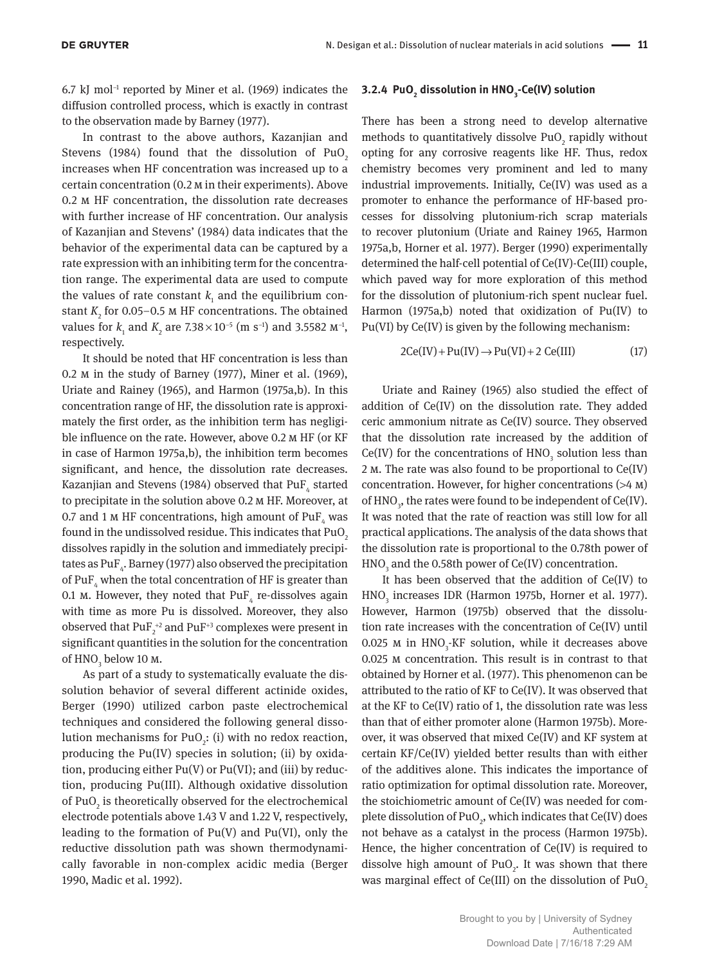6.7 kJ mol−1 reported by Miner et al. (1969) indicates the diffusion controlled process, which is exactly in contrast to the observation made by Barney (1977).

In contrast to the above authors, Kazanjian and Stevens (1984) found that the dissolution of PuO<sub>2</sub> increases when HF concentration was increased up to a certain concentration (0.2 m in their experiments). Above 0.2 m HF concentration, the dissolution rate decreases with further increase of HF concentration. Our analysis of Kazanjian and Stevens' (1984) data indicates that the behavior of the experimental data can be captured by a rate expression with an inhibiting term for the concentration range. The experimental data are used to compute the values of rate constant  $k_{\text{1}}$  and the equilibrium constant  $K$ <sub>2</sub> for 0.05–0.5  $\text{M}$  HF concentrations. The obtained values for  $k_1$  and  $K_2$  are  $7.38 \times 10^{-5}$  (m s<sup>-1</sup>) and 3.5582  $M^{-1}$ , respectively.

It should be noted that HF concentration is less than 0.2 m in the study of Barney (1977), Miner et al. (1969), Uriate and Rainey (1965), and Harmon (1975a,b). In this concentration range of HF, the dissolution rate is approximately the first order, as the inhibition term has negligible influence on the rate. However, above 0.2 m HF (or KF in case of Harmon 1975a,b), the inhibition term becomes significant, and hence, the dissolution rate decreases. Kazanjian and Stevens (1984) observed that PuF<sub>4</sub> started to precipitate in the solution above 0.2 m HF. Moreover, at 0.7 and 1 M HF concentrations, high amount of  $\mathrm{PuF}_4$  was found in the undissolved residue. This indicates that  $PuO<sub>2</sub>$ dissolves rapidly in the solution and immediately precipitates as  $\operatorname{PuF}_{\scriptscriptstyle{4^{\ast}}}$  Barney (1977) also observed the precipitation of PuF<sub>4</sub> when the total concentration of HF is greater than 0.1 m. However, they noted that  $PuF_4$  re-dissolves again with time as more Pu is dissolved. Moreover, they also observed that  $\text{PuF}_{2}^{+2}$  and  $\text{PuF}_{2}^{+3}$  complexes were present in significant quantities in the solution for the concentration of  $HNO<sub>3</sub>$  below 10 m.

As part of a study to systematically evaluate the dissolution behavior of several different actinide oxides, Berger (1990) utilized carbon paste electrochemical techniques and considered the following general dissolution mechanisms for  $PuO<sub>2</sub>$ : (i) with no redox reaction, producing the Pu(IV) species in solution; (ii) by oxidation, producing either  $Pu(V)$  or  $Pu(VI)$ ; and (iii) by reduction, producing Pu(III). Although oxidative dissolution of PuO<sub>2</sub> is theoretically observed for the electrochemical electrode potentials above 1.43 V and 1.22 V, respectively, leading to the formation of  $Pu(V)$  and  $Pu(VI)$ , only the reductive dissolution path was shown thermodynamically favorable in non-complex acidic media (Berger 1990, Madic et al. 1992).

### **3.2.4 PuO<sup>2</sup> dissolution in HNO<sup>3</sup> -Ce(IV) solution**

There has been a strong need to develop alternative methods to quantitatively dissolve  $PuO_2$  rapidly without opting for any corrosive reagents like HF. Thus, redox chemistry becomes very prominent and led to many industrial improvements. Initially, Ce(IV) was used as a promoter to enhance the performance of HF-based processes for dissolving plutonium-rich scrap materials to recover plutonium (Uriate and Rainey 1965, Harmon 1975a,b, Horner et al. 1977). Berger (1990) experimentally determined the half-cell potential of Ce(IV)-Ce(III) couple, which paved way for more exploration of this method for the dissolution of plutonium-rich spent nuclear fuel. Harmon (1975a,b) noted that oxidization of Pu(IV) to Pu(VI) by Ce(IV) is given by the following mechanism:

$$
2Ce(IV) + Pu(IV) \rightarrow Pu(VI) + 2 Ce(III)
$$
 (17)

Uriate and Rainey (1965) also studied the effect of addition of Ce(IV) on the dissolution rate. They added ceric ammonium nitrate as Ce(IV) source. They observed that the dissolution rate increased by the addition of  $Ce(IV)$  for the concentrations of  $HNO<sub>3</sub>$  solution less than 2 m. The rate was also found to be proportional to Ce(IV) concentration. However, for higher concentrations (>4 m) of  $HNO<sub>3</sub>$ , the rates were found to be independent of Ce(IV). It was noted that the rate of reaction was still low for all practical applications. The analysis of the data shows that the dissolution rate is proportional to the 0.78th power of  $HNO<sub>3</sub>$  and the 0.58th power of Ce(IV) concentration.

It has been observed that the addition of Ce(IV) to  $\text{HNO}_3$  increases IDR (Harmon 1975b, Horner et al. 1977). However, Harmon (1975b) observed that the dissolution rate increases with the concentration of Ce(IV) until 0.025  $M$  in  $HNO<sub>3</sub>$ -KF solution, while it decreases above 0.025 m concentration. This result is in contrast to that obtained by Horner et al. (1977). This phenomenon can be attributed to the ratio of KF to Ce(IV). It was observed that at the KF to Ce(IV) ratio of 1, the dissolution rate was less than that of either promoter alone (Harmon 1975b). Moreover, it was observed that mixed Ce(IV) and KF system at certain KF/Ce(IV) yielded better results than with either of the additives alone. This indicates the importance of ratio optimization for optimal dissolution rate. Moreover, the stoichiometric amount of Ce(IV) was needed for complete dissolution of  $PuO<sub>2</sub>$ , which indicates that Ce(IV) does not behave as a catalyst in the process (Harmon 1975b). Hence, the higher concentration of Ce(IV) is required to dissolve high amount of  $PuO<sub>2</sub>$ . It was shown that there was marginal effect of  $Ce(III)$  on the dissolution of  $PuO<sub>2</sub>$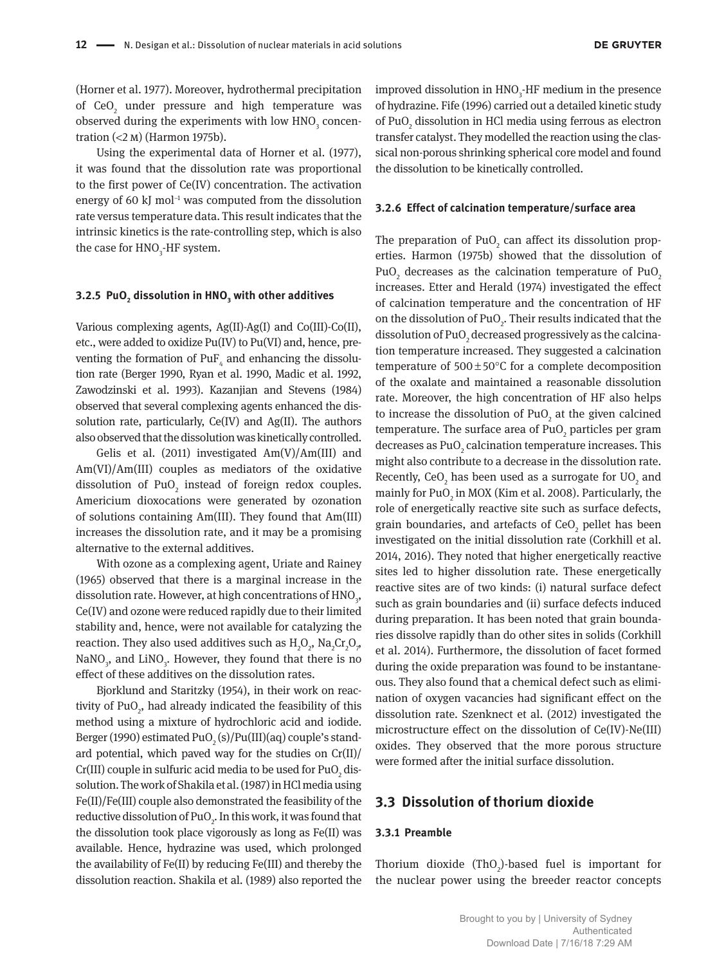(Horner et al. 1977). Moreover, hydrothermal precipitation of  $\text{CeO}_2$  under pressure and high temperature was observed during the experiments with low  $\mathrm{HNO}_{\mathfrak{z}}$  concentration (<2 m) (Harmon 1975b).

Using the experimental data of Horner et al. (1977), it was found that the dissolution rate was proportional to the first power of Ce(IV) concentration. The activation energy of 60 kJ mol<sup>-1</sup> was computed from the dissolution rate versus temperature data. This result indicates that the intrinsic kinetics is the rate-controlling step, which is also the case for  $HNO<sub>3</sub>$ -HF system.

#### **3.2.5 PuO<sup>2</sup> dissolution in HNO<sup>3</sup> with other additives**

Various complexing agents, Ag(II)-Ag(I) and Co(III)-Co(II), etc., were added to oxidize Pu(IV) to Pu(VI) and, hence, preventing the formation of  $\text{PuF}_4$  and enhancing the dissolution rate (Berger 1990, Ryan et al. 1990, Madic et al. 1992, Zawodzinski et al. 1993). Kazanjian and Stevens (1984) observed that several complexing agents enhanced the dissolution rate, particularly, Ce(IV) and Ag(II). The authors also observed that the dissolution was kinetically controlled.

Gelis et al. (2011) investigated  $Am(V)/Am(III)$  and Am(VI)/Am(III) couples as mediators of the oxidative dissolution of  $PuO<sub>2</sub>$  instead of foreign redox couples. Americium dioxocations were generated by ozonation of solutions containing Am(III). They found that Am(III) increases the dissolution rate, and it may be a promising alternative to the external additives.

With ozone as a complexing agent, Uriate and Rainey (1965) observed that there is a marginal increase in the dissolution rate. However, at high concentrations of  $\mathrm{HNO}_3^3$ , Ce(IV) and ozone were reduced rapidly due to their limited stability and, hence, were not available for catalyzing the reaction. They also used additives such as  ${\rm H_2O}_2$ ,  ${\rm Na_2Cr_2O}_{\gamma}$ ,  $\text{NaNO}_3$ , and  $\text{LiNO}_3$ . However, they found that there is no effect of these additives on the dissolution rates.

Bjorklund and Staritzky (1954), in their work on reactivity of  $PuO<sub>2</sub>$ , had already indicated the feasibility of this method using a mixture of hydrochloric acid and iodide. Berger (1990) estimated PuO $_2$  (s)/Pu(III)(aq) couple's standard potential, which paved way for the studies on  $Cr(II)/$ Cr(III) couple in sulfuric acid media to be used for PuO<sub>2</sub> dissolution. The work of Shakila et al. (1987) in HCl media using Fe(II)/Fe(III) couple also demonstrated the feasibility of the reductive dissolution of  $PuO<sub>2</sub>$ . In this work, it was found that the dissolution took place vigorously as long as Fe(II) was available. Hence, hydrazine was used, which prolonged the availability of Fe(II) by reducing Fe(III) and thereby the dissolution reaction. Shakila et al. (1989) also reported the

improved dissolution in  $HNO<sub>3</sub>$ -HF medium in the presence of hydrazine. Fife (1996) carried out a detailed kinetic study of PuO<sub>2</sub> dissolution in HCl media using ferrous as electron transfer catalyst. They modelled the reaction using the classical non-porous shrinking spherical core model and found the dissolution to be kinetically controlled.

#### **3.2.6 Effect of calcination temperature/surface area**

The preparation of  $PuO<sub>2</sub>$  can affect its dissolution properties. Harmon (1975b) showed that the dissolution of PuO<sub>2</sub> decreases as the calcination temperature of PuO<sub>2</sub> increases. Etter and Herald (1974) investigated the effect of calcination temperature and the concentration of HF on the dissolution of PuO<sub>2</sub>. Their results indicated that the dissolution of PuO $_2$  decreased progressively as the calcination temperature increased. They suggested a calcination temperature of  $500\pm50^{\circ}$ C for a complete decomposition of the oxalate and maintained a reasonable dissolution rate. Moreover, the high concentration of HF also helps to increase the dissolution of PuO<sub>2</sub> at the given calcined temperature. The surface area of  $PuO<sub>2</sub>$  particles per gram decreases as  $\text{PuO}_\text{2}$  calcination temperature increases. This might also contribute to a decrease in the dissolution rate. Recently, CeO<sub>2</sub> has been used as a surrogate for  $\rm UO_2$  and mainly for  $\text{PuO}_2$  in MOX (Kim et al. 2008). Particularly, the role of energetically reactive site such as surface defects, grain boundaries, and artefacts of  $\text{CeO}_2$  pellet has been investigated on the initial dissolution rate (Corkhill et al. 2014, 2016). They noted that higher energetically reactive sites led to higher dissolution rate. These energetically reactive sites are of two kinds: (i) natural surface defect such as grain boundaries and (ii) surface defects induced during preparation. It has been noted that grain boundaries dissolve rapidly than do other sites in solids (Corkhill et al. 2014). Furthermore, the dissolution of facet formed during the oxide preparation was found to be instantaneous. They also found that a chemical defect such as elimination of oxygen vacancies had significant effect on the dissolution rate. Szenknect et al. (2012) investigated the microstructure effect on the dissolution of Ce(IV)-Ne(III) oxides. They observed that the more porous structure were formed after the initial surface dissolution.

#### **3.3 Dissolution of thorium dioxide**

#### **3.3.1 Preamble**

Thorium dioxide  $(ThO<sub>2</sub>)$ -based fuel is important for the nuclear power using the breeder reactor concepts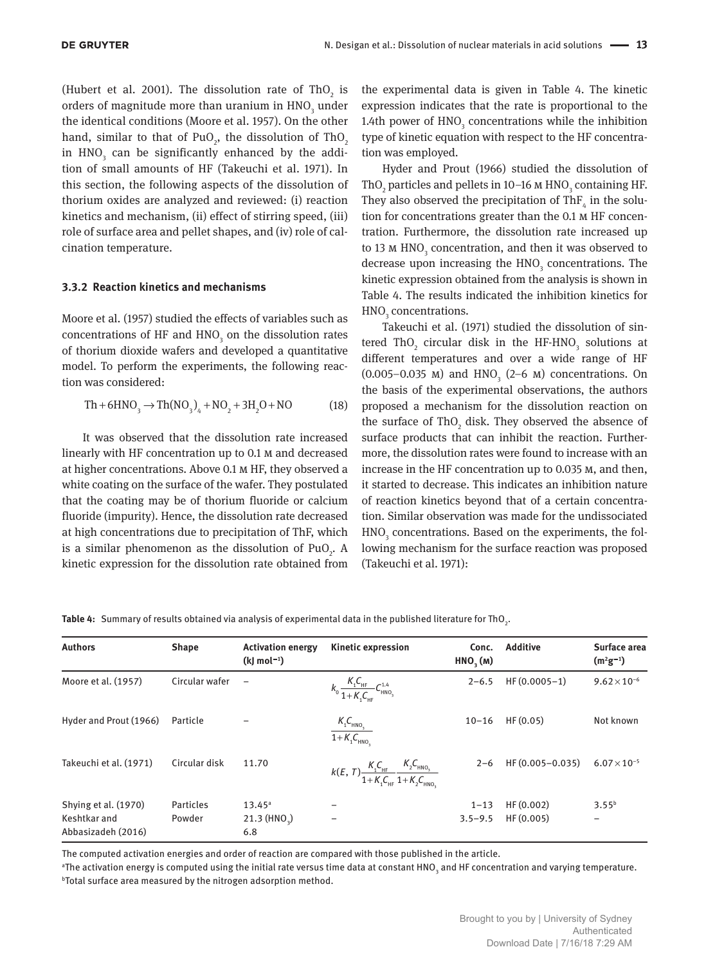(Hubert et al. 2001). The dissolution rate of  $ThO<sub>2</sub>$  is orders of magnitude more than uranium in  $\mathrm{HNO}_3$  under the identical conditions (Moore et al. 1957). On the other hand, similar to that of PuO<sub>2</sub>, the dissolution of ThO<sub>2</sub> in  $\text{HNO}_3^{}$  can be significantly enhanced by the addition of small amounts of HF (Takeuchi et al. 1971). In this section, the following aspects of the dissolution of thorium oxides are analyzed and reviewed: (i) reaction kinetics and mechanism, (ii) effect of stirring speed, (iii) role of surface area and pellet shapes, and (iv) role of calcination temperature.

#### **3.3.2 Reaction kinetics and mechanisms**

Moore et al. (1957) studied the effects of variables such as concentrations of HF and  $HNO<sub>3</sub>$  on the dissolution rates of thorium dioxide wafers and developed a quantitative model. To perform the experiments, the following reaction was considered:

$$
Th + 6HNO3 \to Th(NO3)4 + NO2 + 3H2O + NO
$$
 (18)

It was observed that the dissolution rate increased linearly with HF concentration up to 0.1 m and decreased at higher concentrations. Above 0.1 m HF, they observed a white coating on the surface of the wafer. They postulated that the coating may be of thorium fluoride or calcium fluoride (impurity). Hence, the dissolution rate decreased at high concentrations due to precipitation of ThF, which is a similar phenomenon as the dissolution of  $PuO<sub>2</sub>$ . A kinetic expression for the dissolution rate obtained from

the experimental data is given in Table 4. The kinetic expression indicates that the rate is proportional to the 1.4th power of  $HNO<sub>3</sub>$  concentrations while the inhibition type of kinetic equation with respect to the HF concentration was employed.

Hyder and Prout (1966) studied the dissolution of ThO<sub>2</sub> particles and pellets in 10–16 M HNO<sub>3</sub> containing HF. They also observed the precipitation of Th $F_{_4}$  in the solution for concentrations greater than the 0.1 m HF concentration. Furthermore, the dissolution rate increased up to 13 M  $\mathrm{HNO}_3$  concentration, and then it was observed to decrease upon increasing the  $HNO<sub>3</sub>$  concentrations. The kinetic expression obtained from the analysis is shown in Table 4. The results indicated the inhibition kinetics for  $HNO<sub>3</sub>$  concentrations.

Takeuchi et al. (1971) studied the dissolution of sintered ThO<sub>2</sub> circular disk in the HF-HNO<sub>3</sub> solutions at different temperatures and over a wide range of HF (0.005–0.035 M) and  $HNO<sub>3</sub>$  (2–6 M) concentrations. On the basis of the experimental observations, the authors proposed a mechanism for the dissolution reaction on the surface of  $ThO<sub>2</sub>$  disk. They observed the absence of surface products that can inhibit the reaction. Furthermore, the dissolution rates were found to increase with an increase in the HF concentration up to 0.035 m, and then, it started to decrease. This indicates an inhibition nature of reaction kinetics beyond that of a certain concentration. Similar observation was made for the undissociated  $HNO<sub>3</sub>$  concentrations. Based on the experiments, the following mechanism for the surface reaction was proposed (Takeuchi et al. 1971):

| <b>Authors</b>                                             | <b>Shape</b>        | <b>Activation energy</b><br>$(k)$ mol <sup>-1</sup> ) | <b>Kinetic expression</b>                                                           | Conc.<br>HNO, (M)       | <b>Additive</b>        | Surface area<br>$(m^2g^{-1})$ |
|------------------------------------------------------------|---------------------|-------------------------------------------------------|-------------------------------------------------------------------------------------|-------------------------|------------------------|-------------------------------|
| Moore et al. (1957)                                        | Circular wafer      | $\overline{\phantom{0}}$                              | $k_0 \frac{K_1 C_{HF}}{1 + K_1 C_{HF}} C_{HNO_3}^{1.4}$                             | $2 - 6.5$               | $HF(0.0005-1)$         | $9.62 \times 10^{-6}$         |
| Hyder and Prout (1966)                                     | Particle            |                                                       | $\frac{K_{1}C_{HNO_{3}}}{1+K_{1}C_{HNO_{3}}}$                                       | $10 - 16$               | HF(0.05)               | Not known                     |
| Takeuchi et al. (1971)                                     | Circular disk       | 11.70                                                 | $k(E, T) \frac{K_1 C_{HF}}{1 + K_1 C_{HF}} \frac{K_2 C_{HNO_3}}{1 + K_2 C_{HNO_3}}$ | $2 - 6$                 | HF (0.005-0.035)       | $6.07 \times 10^{-5}$         |
| Shying et al. (1970)<br>Keshtkar and<br>Abbasizadeh (2016) | Particles<br>Powder | $13.45^{\circ}$<br>$21.3$ (HNO <sub>3</sub> )<br>6.8  | $\qquad \qquad$                                                                     | $1 - 13$<br>$3.5 - 9.5$ | HF(0.002)<br>HF(0.005) | $3.55^{b}$<br>-               |

**Table 4:** Summary of results obtained via analysis of experimental data in the published literature for ThO<sub>2</sub>.

The computed activation energies and order of reaction are compared with those published in the article.

 $^{\rm a}$ The activation energy is computed using the initial rate versus time data at constant HNO $_{\rm s}$  and HF concentration and varying temperature. **bTotal surface area measured by the nitrogen adsorption method.**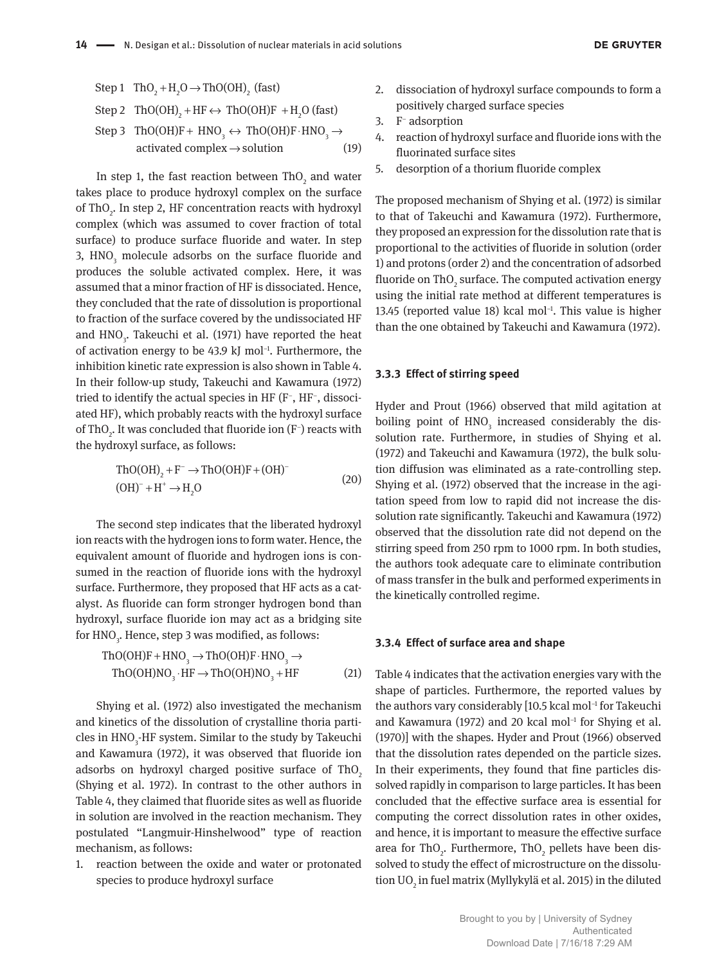Step 1 
$$
\text{ThO}_2 + \text{H}_2\text{O} \rightarrow \text{ThO(OH)}_2
$$
 (fast)  
\nStep 2  $\text{ThO(OH)}_2 + \text{HF} \leftrightarrow \text{ThO(OH)}\text{F} + \text{H}_2\text{O}$  (fast)  
\nStep 3  $\text{ThO(OH)}\text{F} + \text{HNO}_3 \leftrightarrow \text{ThO(OH)}\text{F} \cdot \text{HNO}_3 \rightarrow$   
\nactivated complex  $\rightarrow$  solution (19)

In step 1, the fast reaction between Th $O_2$  and water takes place to produce hydroxyl complex on the surface of ThO<sub>2</sub>. In step 2, HF concentration reacts with hydroxyl complex (which was assumed to cover fraction of total surface) to produce surface fluoride and water. In step 3, HNO<sub>3</sub> molecule adsorbs on the surface fluoride and produces the soluble activated complex. Here, it was assumed that a minor fraction of HF is dissociated. Hence, they concluded that the rate of dissolution is proportional to fraction of the surface covered by the undissociated HF and  $\text{HNO}_3$ . Takeuchi et al. (1971) have reported the heat of activation energy to be 43.9 kJ mol<sup>-1</sup>. Furthermore, the inhibition kinetic rate expression is also shown in Table 4. In their follow-up study, Takeuchi and Kawamura (1972) tried to identify the actual species in HF (F<sup>−</sup> , HF<sup>−</sup> , dissociated HF), which probably reacts with the hydroxyl surface of ThO<sub>2</sub>. It was concluded that fluoride ion (F<sup>-</sup>) reacts with the hydroxyl surface, as follows:

$$
\text{ThO(OH)}_2 + F^- \to \text{ThO(OH)}F + (\text{OH})^-
$$
  
(OH)<sup>-</sup> + H<sup>+</sup>  $\to$  H<sub>2</sub>O (20)

The second step indicates that the liberated hydroxyl ion reacts with the hydrogen ions to form water. Hence, the equivalent amount of fluoride and hydrogen ions is consumed in the reaction of fluoride ions with the hydroxyl surface. Furthermore, they proposed that HF acts as a catalyst. As fluoride can form stronger hydrogen bond than hydroxyl, surface fluoride ion may act as a bridging site for  $\mathrm{HNO}_3$ . Hence, step 3 was modified, as follows:

$$
\text{ThO(OH)F} + \text{HNO}_3 \rightarrow \text{ThO(OH)F} \cdot \text{HNO}_3 \rightarrow \text{ThO(OH)NO}_3 \cdot \text{HF} \rightarrow \text{ThO(OH)NO}_3 + \text{HF} \tag{21}
$$

Shying et al. (1972) also investigated the mechanism and kinetics of the dissolution of crystalline thoria particles in  $\text{HNO}_3\text{-}\text{HF}$  system. Similar to the study by Takeuchi and Kawamura (1972), it was observed that fluoride ion adsorbs on hydroxyl charged positive surface of ThO<sub>2</sub> (Shying et al. 1972). In contrast to the other authors in Table 4, they claimed that fluoride sites as well as fluoride in solution are involved in the reaction mechanism. They postulated "Langmuir-Hinshelwood" type of reaction mechanism, as follows:

1. reaction between the oxide and water or protonated species to produce hydroxyl surface

- 2. dissociation of hydroxyl surface compounds to form a positively charged surface species
- 3. F<sup>-</sup> adsorption
- 4. reaction of hydroxyl surface and fluoride ions with the fluorinated surface sites
- 5. desorption of a thorium fluoride complex

The proposed mechanism of Shying et al. (1972) is similar to that of Takeuchi and Kawamura (1972). Furthermore, they proposed an expression for the dissolution rate that is proportional to the activities of fluoride in solution (order 1) and protons (order 2) and the concentration of adsorbed fluoride on Th $\mathrm{O}_2$  surface. The computed activation energy using the initial rate method at different temperatures is 13.45 (reported value 18) kcal mol−1. This value is higher than the one obtained by Takeuchi and Kawamura (1972).

#### **3.3.3 Effect of stirring speed**

Hyder and Prout (1966) observed that mild agitation at boiling point of  $HNO<sub>3</sub>$  increased considerably the dissolution rate. Furthermore, in studies of Shying et al. (1972) and Takeuchi and Kawamura (1972), the bulk solution diffusion was eliminated as a rate-controlling step. Shying et al. (1972) observed that the increase in the agitation speed from low to rapid did not increase the dissolution rate significantly. Takeuchi and Kawamura (1972) observed that the dissolution rate did not depend on the stirring speed from 250 rpm to 1000 rpm. In both studies, the authors took adequate care to eliminate contribution of mass transfer in the bulk and performed experiments in the kinetically controlled regime.

#### **3.3.4 Effect of surface area and shape**

Table 4 indicates that the activation energies vary with the shape of particles. Furthermore, the reported values by the authors vary considerably [10.5 kcal mol−1 for Takeuchi and Kawamura (1972) and 20 kcal mol<sup>-1</sup> for Shying et al. (1970)] with the shapes. Hyder and Prout (1966) observed that the dissolution rates depended on the particle sizes. In their experiments, they found that fine particles dissolved rapidly in comparison to large particles. It has been concluded that the effective surface area is essential for computing the correct dissolution rates in other oxides, and hence, it is important to measure the effective surface area for ThO<sub>2</sub>. Furthermore, ThO<sub>2</sub> pellets have been dissolved to study the effect of microstructure on the dissolution UO $_{\textrm{\tiny{\it 2}}}$  in fuel matrix (Myllykylä et al. 2015) in the diluted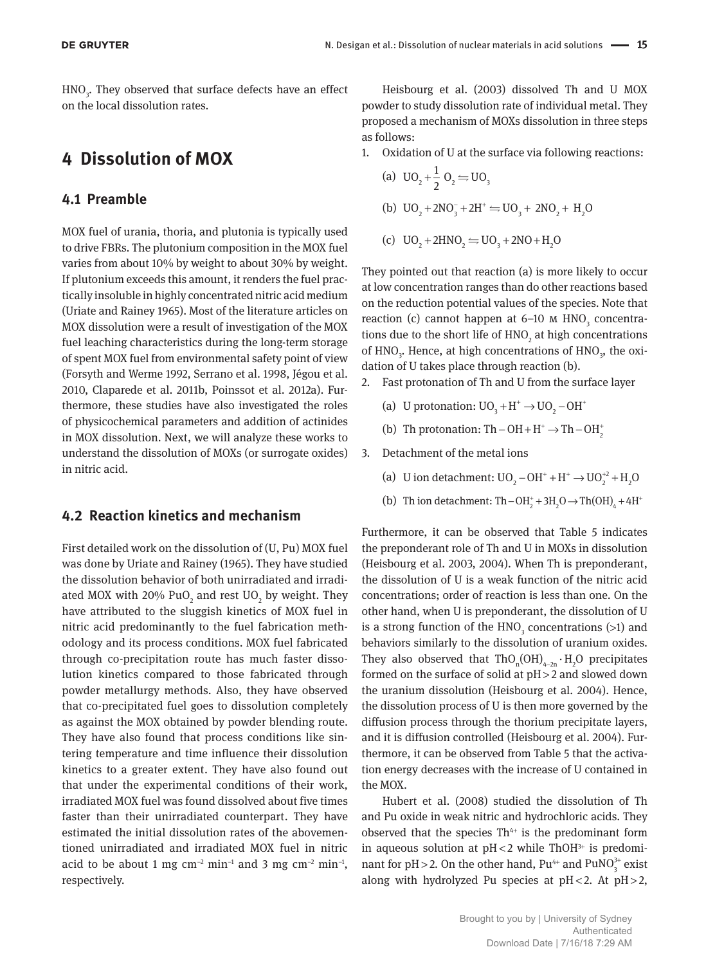HNO<sub>3</sub>. They observed that surface defects have an effect on the local dissolution rates.

## **4 Dissolution of MOX**

### **4.1 Preamble**

MOX fuel of urania, thoria, and plutonia is typically used to drive FBRs. The plutonium composition in the MOX fuel varies from about 10% by weight to about 30% by weight. If plutonium exceeds this amount, it renders the fuel practically insoluble in highly concentrated nitric acid medium (Uriate and Rainey 1965). Most of the literature articles on MOX dissolution were a result of investigation of the MOX fuel leaching characteristics during the long-term storage of spent MOX fuel from environmental safety point of view (Forsyth and Werme 1992, Serrano et al. 1998, Jégou et al. 2010, Claparede et al. 2011b, Poinssot et al. 2012a). Furthermore, these studies have also investigated the roles of physicochemical parameters and addition of actinides in MOX dissolution. Next, we will analyze these works to understand the dissolution of MOXs (or surrogate oxides) in nitric acid.

#### **4.2 Reaction kinetics and mechanism**

First detailed work on the dissolution of (U, Pu) MOX fuel was done by Uriate and Rainey (1965). They have studied the dissolution behavior of both unirradiated and irradiated MOX with 20%  $PuO<sub>2</sub>$  and rest UO<sub>2</sub> by weight. They have attributed to the sluggish kinetics of MOX fuel in nitric acid predominantly to the fuel fabrication methodology and its process conditions. MOX fuel fabricated through co-precipitation route has much faster dissolution kinetics compared to those fabricated through powder metallurgy methods. Also, they have observed that co-precipitated fuel goes to dissolution completely as against the MOX obtained by powder blending route. They have also found that process conditions like sintering temperature and time influence their dissolution kinetics to a greater extent. They have also found out that under the experimental conditions of their work, irradiated MOX fuel was found dissolved about five times faster than their unirradiated counterpart. They have estimated the initial dissolution rates of the abovementioned unirradiated and irradiated MOX fuel in nitric acid to be about 1 mg cm<sup>-2</sup> min<sup>-1</sup> and 3 mg cm<sup>-2</sup> min<sup>-1</sup>, respectively.

Heisbourg et al. (2003) dissolved Th and U MOX powder to study dissolution rate of individual metal. They proposed a mechanism of MOXs dissolution in three steps as follows:

1. Oxidation of U at the surface via following reactions:

(a) 
$$
UO_2 + \frac{1}{2}O_2 = UO_3
$$

- (b)  $UO_2 + 2NO_3^- + 2H^+ \rightleftharpoons UO_3 + 2NO_2 + H_2O$
- (c)  $UO_1 + 2HNO_2 \rightleftharpoons UO_2 + 2NO + H_2O$

They pointed out that reaction (a) is more likely to occur at low concentration ranges than do other reactions based on the reduction potential values of the species. Note that reaction (c) cannot happen at 6–10  $M$  HNO<sub>3</sub> concentrations due to the short life of  $HNO<sub>2</sub>$  at high concentrations of  $HNO<sub>3</sub>$ . Hence, at high concentrations of  $HNO<sub>3</sub>$ , the oxidation of U takes place through reaction (b).

- 2. Fast protonation of Th and U from the surface layer
	- (a) U protonation:  $UO_3 + H^+ \rightarrow UO_2 OH^+$
	- (b) Th protonation: Th OH +  $H^+$   $\rightarrow$  Th OH<sub>2</sub>
- 3. Detachment of the metal ions
	- (a) U ion detachment:  $UO_2 OH^+ + H^+ \rightarrow UO_2^{+2} + H_2O$
	- (b) Th ion detachment: Th  $-OH_2^+ + 3H_2O \rightarrow Th(OH)_4 + 4H^+$

Furthermore, it can be observed that Table 5 indicates the preponderant role of Th and U in MOXs in dissolution (Heisbourg et al. 2003, 2004). When Th is preponderant, the dissolution of U is a weak function of the nitric acid concentrations; order of reaction is less than one. On the other hand, when U is preponderant, the dissolution of U is a strong function of the  $\mathrm{HNO}_{_3}$  concentrations (>1) and behaviors similarly to the dissolution of uranium oxides. They also observed that  $ThO_n(OH)_{4-2n} \cdot H_2O$  precipitates formed on the surface of solid at pH > 2 and slowed down the uranium dissolution (Heisbourg et al. 2004). Hence, the dissolution process of U is then more governed by the diffusion process through the thorium precipitate layers, and it is diffusion controlled (Heisbourg et al. 2004). Furthermore, it can be observed from Table 5 that the activation energy decreases with the increase of U contained in the MOX.

Hubert et al. (2008) studied the dissolution of Th and Pu oxide in weak nitric and hydrochloric acids. They observed that the species  $Th^{4+}$  is the predominant form in aqueous solution at  $pH < 2$  while ThOH<sup>3+</sup> is predominant for pH > 2. On the other hand,  $Pu^{4+}$  and  $PuNO_3^{3+}$  exist along with hydrolyzed Pu species at  $pH < 2$ . At  $pH > 2$ ,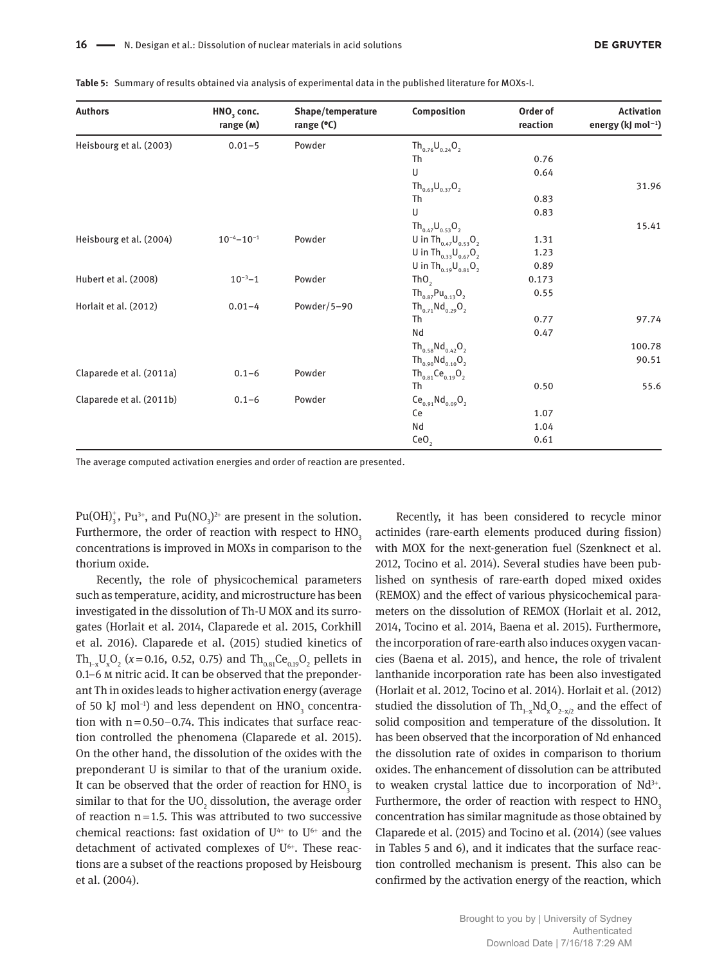| <b>Authors</b>           | HNO <sub>3</sub> conc.<br>range (M) | Shape/temperature<br>range (°C) | Composition                                        | Order of<br>reaction | <b>Activation</b><br>energy (kJ mol <sup>-1</sup> ) |
|--------------------------|-------------------------------------|---------------------------------|----------------------------------------------------|----------------------|-----------------------------------------------------|
| Heisbourg et al. (2003)  | $0.01 - 5$                          | Powder                          | $Th_{0.76}U_{0.24}O_2$                             |                      |                                                     |
|                          |                                     |                                 | Th                                                 | 0.76                 |                                                     |
|                          |                                     |                                 | U                                                  | 0.64                 |                                                     |
|                          |                                     |                                 | $Th_{0.63}U_{0.37}O_2$                             |                      | 31.96                                               |
|                          |                                     |                                 | Th                                                 | 0.83                 |                                                     |
|                          |                                     |                                 | $\cup$                                             | 0.83                 |                                                     |
|                          |                                     |                                 | $Th_{0.47}U_{0.53}O_2$                             |                      | 15.41                                               |
| Heisbourg et al. (2004)  | $10^{-4}-10^{-1}$                   | Powder                          | U in Th <sub>0.47</sub> $U_{0.53}O_2$              | 1.31                 |                                                     |
|                          |                                     |                                 | U in $\text{Th}_{0.33} \text{U}_{0.67} \text{O}_2$ | 1.23                 |                                                     |
|                          |                                     |                                 | U in $\text{Th}_{0.19} \text{U}_{0.81} \text{O}_2$ | 0.89                 |                                                     |
| Hubert et al. (2008)     | $10^{-3}-1$                         | Powder                          | ThO <sub>2</sub>                                   | 0.173                |                                                     |
|                          |                                     |                                 | $Th_{0.87}Pu_{0.13}O_2$                            | 0.55                 |                                                     |
| Horlait et al. (2012)    | $0.01 - 4$                          | Powder/5-90                     | $Th_{0.71}Nd_{0.29}O_2$                            |                      |                                                     |
|                          |                                     |                                 | Th                                                 | 0.77                 | 97.74                                               |
|                          |                                     |                                 | Nd                                                 | 0.47                 |                                                     |
|                          |                                     |                                 | $Th_{0.58}Nd_{0.42}O_2$                            |                      | 100.78                                              |
|                          |                                     |                                 | $Th_{0.90}Nd_{0.10}O_2$                            |                      | 90.51                                               |
| Claparede et al. (2011a) | $0.1 - 6$                           | Powder                          | $Th_{0.81}Ce_{0.19}O_2$                            |                      |                                                     |
|                          |                                     |                                 | Th                                                 | 0.50                 | 55.6                                                |
| Claparede et al. (2011b) | $0.1 - 6$                           | Powder                          | $Ce_{0.91}Nd_{0.09}O_2$                            |                      |                                                     |
|                          |                                     |                                 | Ce                                                 | 1.07                 |                                                     |
|                          |                                     |                                 | Nd                                                 | 1.04                 |                                                     |
|                          |                                     |                                 | CeO <sub>2</sub>                                   | 0.61                 |                                                     |

**Table 5:** Summary of results obtained via analysis of experimental data in the published literature for MOXs-I.

The average computed activation energies and order of reaction are presented.

Pu(OH)<sup>+</sup>, Pu<sup>3+</sup>, and Pu(NO<sub>3</sub>)<sup>2+</sup> are present in the solution. Furthermore, the order of reaction with respect to  $HNO<sub>3</sub>$ concentrations is improved in MOXs in comparison to the thorium oxide.

Recently, the role of physicochemical parameters such as temperature, acidity, and microstructure has been investigated in the dissolution of Th-U MOX and its surrogates (Horlait et al. 2014, Claparede et al. 2015, Corkhill et al. 2016). Claparede et al. (2015) studied kinetics of Th<sub>1-x</sub>U<sub>x</sub>O<sub>2</sub> (*x* = 0.16, 0.52, 0.75) and Th<sub>0.81</sub>Ce<sub>0.19</sub>O<sub>2</sub> pellets in 0.1–6 m nitric acid. It can be observed that the preponderant Th in oxides leads to higher activation energy (average of 50 kJ mol<sup>-1</sup>) and less dependent on  $\mathrm{HNO}_{3}$  concentration with  $n = 0.50 - 0.74$ . This indicates that surface reaction controlled the phenomena (Claparede et al. 2015). On the other hand, the dissolution of the oxides with the preponderant U is similar to that of the uranium oxide. It can be observed that the order of reaction for  $\mathrm{HNO}_{\mathfrak{z}}$  is similar to that for the UO<sub>2</sub> dissolution, the average order of reaction  $n=1.5$ . This was attributed to two successive chemical reactions: fast oxidation of  $U^{4+}$  to  $U^{6+}$  and the detachment of activated complexes of U<sup>6+</sup>. These reactions are a subset of the reactions proposed by Heisbourg et al. (2004).

Recently, it has been considered to recycle minor actinides (rare-earth elements produced during fission) with MOX for the next-generation fuel (Szenknect et al. 2012, Tocino et al. 2014). Several studies have been published on synthesis of rare-earth doped mixed oxides (REMOX) and the effect of various physicochemical parameters on the dissolution of REMOX (Horlait et al. 2012, 2014, Tocino et al. 2014, Baena et al. 2015). Furthermore, the incorporation of rare-earth also induces oxygen vacancies (Baena et al. 2015), and hence, the role of trivalent lanthanide incorporation rate has been also investigated (Horlait et al. 2012, Tocino et al. 2014). Horlait et al. (2012) studied the dissolution of Th<sub>1-x</sub>Nd<sub>x</sub>O<sub>2-x/2</sub> and the effect of solid composition and temperature of the dissolution. It has been observed that the incorporation of Nd enhanced the dissolution rate of oxides in comparison to thorium oxides. The enhancement of dissolution can be attributed to weaken crystal lattice due to incorporation of  $Nd^{3+}$ . Furthermore, the order of reaction with respect to  $HNO<sub>3</sub>$ concentration has similar magnitude as those obtained by Claparede et al. (2015) and Tocino et al. (2014) (see values in Tables 5 and 6), and it indicates that the surface reaction controlled mechanism is present. This also can be confirmed by the activation energy of the reaction, which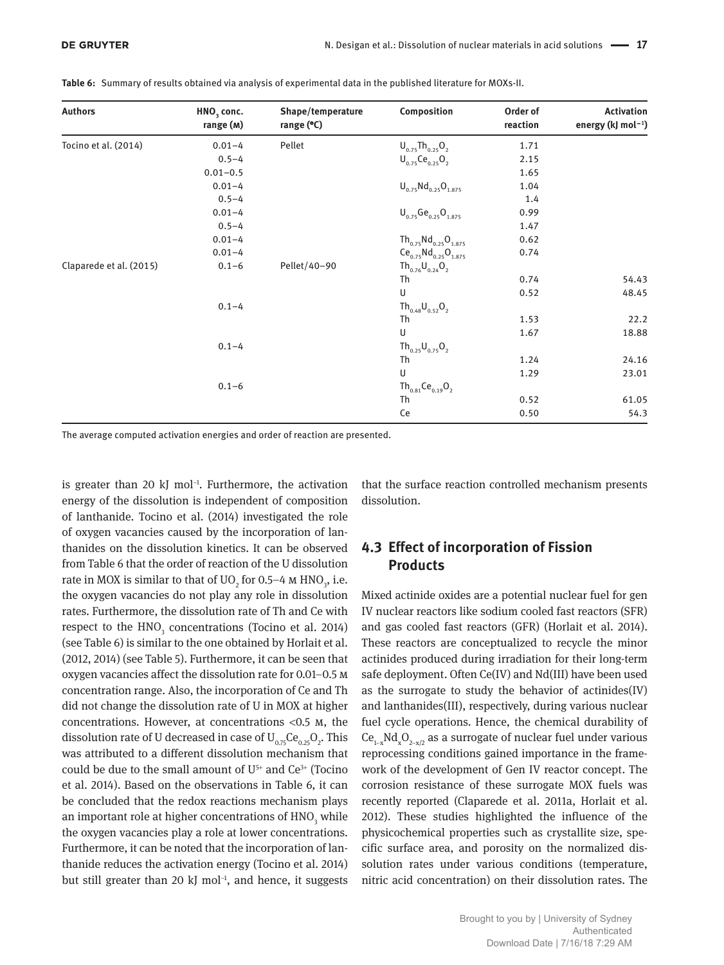| <b>Authors</b>          | HNO <sub>3</sub> conc.<br>range (M) | Shape/temperature<br>range $(°C)$ | Composition                                  | Order of<br>reaction | <b>Activation</b><br>energy (kJ mol <sup>-1</sup> ) |
|-------------------------|-------------------------------------|-----------------------------------|----------------------------------------------|----------------------|-----------------------------------------------------|
| Tocino et al. (2014)    | $0.01 - 4$                          | Pellet                            | $U_{0.75}$ Th <sub>0.25</sub> O <sub>2</sub> | 1.71                 |                                                     |
|                         | $0.5 - 4$                           |                                   | $U_{0.75}Ce_{0.25}O_2$                       | 2.15                 |                                                     |
|                         | $0.01 - 0.5$                        |                                   |                                              | 1.65                 |                                                     |
|                         | $0.01 - 4$                          |                                   | $U_{0.75}Nd_{0.25}O_{1.875}$                 | 1.04                 |                                                     |
|                         | $0.5 - 4$                           |                                   |                                              | 1.4                  |                                                     |
|                         | $0.01 - 4$                          |                                   | $U_{0.75}Ge_{0.25}O_{1.875}$                 | 0.99                 |                                                     |
|                         | $0.5 - 4$                           |                                   |                                              | 1.47                 |                                                     |
|                         | $0.01 - 4$                          |                                   | $Th_{0.75}Nd_{0.25}O_{1.875}$                | 0.62                 |                                                     |
|                         | $0.01 - 4$                          |                                   | $Ce_{0.75}Nd_{0.25}O_{1.875}$                | 0.74                 |                                                     |
| Claparede et al. (2015) | $0.1 - 6$                           | Pellet/40-90                      | $Th_{0.76}U_{0.24}O_2$                       |                      |                                                     |
|                         |                                     |                                   | Th                                           | 0.74                 | 54.43                                               |
|                         |                                     |                                   | U                                            | 0.52                 | 48.45                                               |
|                         | $0.1 - 4$                           |                                   | $Th_{0.48}U_{0.52}O_2$                       |                      |                                                     |
|                         |                                     |                                   | Th                                           | 1.53                 | 22.2                                                |
|                         |                                     |                                   | U                                            | 1.67                 | 18.88                                               |
|                         | $0.1 - 4$                           |                                   | $Th_{0.25}U_{0.75}O_2$                       |                      |                                                     |
|                         |                                     |                                   | Th                                           | 1.24                 | 24.16                                               |
|                         |                                     |                                   | U                                            | 1.29                 | 23.01                                               |
|                         | $0.1 - 6$                           |                                   | $Th_{0.81}Ce_{0.19}O_2$                      |                      |                                                     |
|                         |                                     |                                   | <b>Th</b>                                    | 0.52                 | 61.05                                               |
|                         |                                     |                                   | Ce                                           | 0.50                 | 54.3                                                |

**Table 6:** Summary of results obtained via analysis of experimental data in the published literature for MOXs-II.

The average computed activation energies and order of reaction are presented.

is greater than 20 kJ mol<sup>-1</sup>. Furthermore, the activation energy of the dissolution is independent of composition of lanthanide. Tocino et al. (2014) investigated the role of oxygen vacancies caused by the incorporation of lanthanides on the dissolution kinetics. It can be observed from Table 6 that the order of reaction of the U dissolution rate in MOX is similar to that of  $\rm{UO}_{2}$  for 0.5–4 M HNO<sub>3</sub>, i.e. the oxygen vacancies do not play any role in dissolution rates. Furthermore, the dissolution rate of Th and Ce with respect to the  $HNO<sub>3</sub>$  concentrations (Tocino et al. 2014) (see Table 6) is similar to the one obtained by Horlait et al. (2012, 2014) (see Table 5). Furthermore, it can be seen that oxygen vacancies affect the dissolution rate for 0.01–0.5 m concentration range. Also, the incorporation of Ce and Th did not change the dissolution rate of U in MOX at higher concentrations. However, at concentrations <0.5 m, the dissolution rate of U decreased in case of  ${\rm U}_{_{0.75}}{\rm Ce}_{_{0.25}{\rm O}_{_{2}}}$ . This was attributed to a different dissolution mechanism that could be due to the small amount of  $U^{5+}$  and  $Ce^{3+}$  (Tocino et al. 2014). Based on the observations in Table 6, it can be concluded that the redox reactions mechanism plays an important role at higher concentrations of  $\mathrm{HNO}_{\mathfrak{z}}$  while the oxygen vacancies play a role at lower concentrations. Furthermore, it can be noted that the incorporation of lanthanide reduces the activation energy (Tocino et al. 2014) but still greater than 20 kJ mol<sup>-1</sup>, and hence, it suggests

that the surface reaction controlled mechanism presents dissolution.

## **4.3 Effect of incorporation of Fission Products**

Mixed actinide oxides are a potential nuclear fuel for gen IV nuclear reactors like sodium cooled fast reactors (SFR) and gas cooled fast reactors (GFR) (Horlait et al. 2014). These reactors are conceptualized to recycle the minor actinides produced during irradiation for their long-term safe deployment. Often Ce(IV) and Nd(III) have been used as the surrogate to study the behavior of actinides(IV) and lanthanides(III), respectively, during various nuclear fuel cycle operations. Hence, the chemical durability of  $Ce_{1-x}Nd_{x}O_{2-x/2}$  as a surrogate of nuclear fuel under various reprocessing conditions gained importance in the framework of the development of Gen IV reactor concept. The corrosion resistance of these surrogate MOX fuels was recently reported (Claparede et al. 2011a, Horlait et al. 2012). These studies highlighted the influence of the physicochemical properties such as crystallite size, specific surface area, and porosity on the normalized dissolution rates under various conditions (temperature, nitric acid concentration) on their dissolution rates. The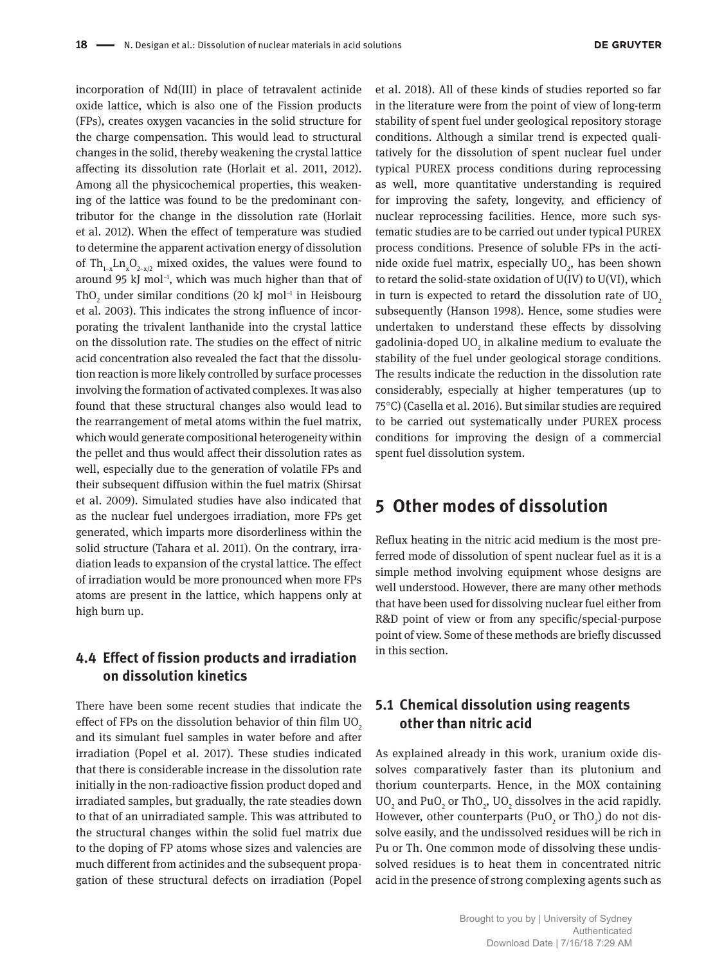incorporation of Nd(III) in place of tetravalent actinide oxide lattice, which is also one of the Fission products (FPs), creates oxygen vacancies in the solid structure for the charge compensation. This would lead to structural changes in the solid, thereby weakening the crystal lattice affecting its dissolution rate (Horlait et al. 2011, 2012). Among all the physicochemical properties, this weakening of the lattice was found to be the predominant contributor for the change in the dissolution rate (Horlait et al. 2012). When the effect of temperature was studied to determine the apparent activation energy of dissolution of Th<sub>1-x</sub>Ln<sub>x</sub>O<sub>2-x/2</sub> mixed oxides, the values were found to around 95 kJ mol<sup>-1</sup>, which was much higher than that of ThO<sub>2</sub> under similar conditions (20 kJ mol<sup>-1</sup> in Heisbourg et al. 2003). This indicates the strong influence of incorporating the trivalent lanthanide into the crystal lattice on the dissolution rate. The studies on the effect of nitric acid concentration also revealed the fact that the dissolution reaction is more likely controlled by surface processes involving the formation of activated complexes. It was also found that these structural changes also would lead to the rearrangement of metal atoms within the fuel matrix, which would generate compositional heterogeneity within the pellet and thus would affect their dissolution rates as well, especially due to the generation of volatile FPs and their subsequent diffusion within the fuel matrix (Shirsat et al. 2009). Simulated studies have also indicated that as the nuclear fuel undergoes irradiation, more FPs get generated, which imparts more disorderliness within the solid structure (Tahara et al. 2011). On the contrary, irradiation leads to expansion of the crystal lattice. The effect of irradiation would be more pronounced when more FPs atoms are present in the lattice, which happens only at high burn up.

## **4.4 Effect of fission products and irradiation on dissolution kinetics**

There have been some recent studies that indicate the effect of FPs on the dissolution behavior of thin film  $UO<sub>2</sub>$ and its simulant fuel samples in water before and after irradiation (Popel et al. 2017). These studies indicated that there is considerable increase in the dissolution rate initially in the non-radioactive fission product doped and irradiated samples, but gradually, the rate steadies down to that of an unirradiated sample. This was attributed to the structural changes within the solid fuel matrix due to the doping of FP atoms whose sizes and valencies are much different from actinides and the subsequent propagation of these structural defects on irradiation (Popel

et al. 2018). All of these kinds of studies reported so far in the literature were from the point of view of long-term stability of spent fuel under geological repository storage conditions. Although a similar trend is expected qualitatively for the dissolution of spent nuclear fuel under typical PUREX process conditions during reprocessing as well, more quantitative understanding is required for improving the safety, longevity, and efficiency of nuclear reprocessing facilities. Hence, more such systematic studies are to be carried out under typical PUREX process conditions. Presence of soluble FPs in the actinide oxide fuel matrix, especially  $\mathrm{UO}_2$ , has been shown to retard the solid-state oxidation of U(IV) to U(VI), which in turn is expected to retard the dissolution rate of  $UO<sub>2</sub>$ subsequently (Hanson 1998). Hence, some studies were undertaken to understand these effects by dissolving gadolinia-doped UO<sub>2</sub> in alkaline medium to evaluate the stability of the fuel under geological storage conditions. The results indicate the reduction in the dissolution rate considerably, especially at higher temperatures (up to 75°C) (Casella et al. 2016). But similar studies are required to be carried out systematically under PUREX process conditions for improving the design of a commercial spent fuel dissolution system.

## **5 Other modes of dissolution**

Reflux heating in the nitric acid medium is the most preferred mode of dissolution of spent nuclear fuel as it is a simple method involving equipment whose designs are well understood. However, there are many other methods that have been used for dissolving nuclear fuel either from R&D point of view or from any specific/special-purpose point of view. Some of these methods are briefly discussed in this section.

## **5.1 Chemical dissolution using reagents other than nitric acid**

As explained already in this work, uranium oxide dissolves comparatively faster than its plutonium and thorium counterparts. Hence, in the MOX containing  $UO<sub>2</sub>$  and PuO<sub>2</sub> or ThO<sub>2</sub>, UO<sub>2</sub> dissolves in the acid rapidly. However, other counterparts (PuO $_2$  or ThO $_2$ ) do not dissolve easily, and the undissolved residues will be rich in Pu or Th. One common mode of dissolving these undissolved residues is to heat them in concentrated nitric acid in the presence of strong complexing agents such as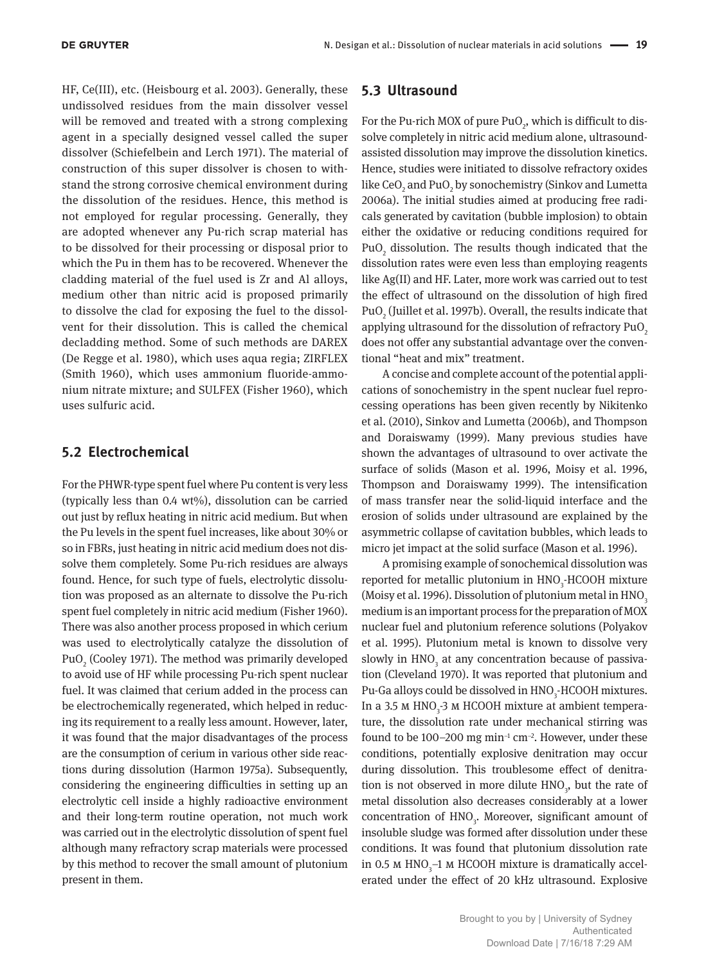HF, Ce(III), etc. (Heisbourg et al. 2003). Generally, these undissolved residues from the main dissolver vessel will be removed and treated with a strong complexing agent in a specially designed vessel called the super dissolver (Schiefelbein and Lerch 1971). The material of construction of this super dissolver is chosen to withstand the strong corrosive chemical environment during the dissolution of the residues. Hence, this method is not employed for regular processing. Generally, they are adopted whenever any Pu-rich scrap material has to be dissolved for their processing or disposal prior to which the Pu in them has to be recovered. Whenever the cladding material of the fuel used is Zr and Al alloys, medium other than nitric acid is proposed primarily to dissolve the clad for exposing the fuel to the dissolvent for their dissolution. This is called the chemical decladding method. Some of such methods are DAREX (De Regge et al. 1980), which uses aqua regia; ZIRFLEX (Smith 1960), which uses ammonium fluoride-ammonium nitrate mixture; and SULFEX (Fisher 1960), which uses sulfuric acid.

### **5.2 Electrochemical**

For the PHWR-type spent fuel where Pu content is very less (typically less than  $0.4 \text{ wt\%}$ ), dissolution can be carried out just by reflux heating in nitric acid medium. But when the Pu levels in the spent fuel increases, like about 30% or so in FBRs, just heating in nitric acid medium does not dissolve them completely. Some Pu-rich residues are always found. Hence, for such type of fuels, electrolytic dissolution was proposed as an alternate to dissolve the Pu-rich spent fuel completely in nitric acid medium (Fisher 1960). There was also another process proposed in which cerium was used to electrolytically catalyze the dissolution of PuO<sub>2</sub> (Cooley 1971). The method was primarily developed to avoid use of HF while processing Pu-rich spent nuclear fuel. It was claimed that cerium added in the process can be electrochemically regenerated, which helped in reducing its requirement to a really less amount. However, later, it was found that the major disadvantages of the process are the consumption of cerium in various other side reactions during dissolution (Harmon 1975a). Subsequently, considering the engineering difficulties in setting up an electrolytic cell inside a highly radioactive environment and their long-term routine operation, not much work was carried out in the electrolytic dissolution of spent fuel although many refractory scrap materials were processed by this method to recover the small amount of plutonium present in them.

### **5.3 Ultrasound**

For the Pu-rich MOX of pure PuO $_2$ , which is difficult to dissolve completely in nitric acid medium alone, ultrasoundassisted dissolution may improve the dissolution kinetics. Hence, studies were initiated to dissolve refractory oxides like CeO<sub>2</sub> and PuO<sub>2</sub> by sonochemistry (Sinkov and Lumetta 2006a). The initial studies aimed at producing free radicals generated by cavitation (bubble implosion) to obtain either the oxidative or reducing conditions required for  $PuO<sub>2</sub>$  dissolution. The results though indicated that the dissolution rates were even less than employing reagents like Ag(II) and HF. Later, more work was carried out to test the effect of ultrasound on the dissolution of high fired PuO $_2$  (Juillet et al. 1997b). Overall, the results indicate that applying ultrasound for the dissolution of refractory  $PuO<sub>2</sub>$ does not offer any substantial advantage over the conventional "heat and mix" treatment.

A concise and complete account of the potential applications of sonochemistry in the spent nuclear fuel reprocessing operations has been given recently by Nikitenko et al. (2010), Sinkov and Lumetta (2006b), and Thompson and Doraiswamy (1999). Many previous studies have shown the advantages of ultrasound to over activate the surface of solids (Mason et al. 1996, Moisy et al. 1996, Thompson and Doraiswamy 1999). The intensification of mass transfer near the solid-liquid interface and the erosion of solids under ultrasound are explained by the asymmetric collapse of cavitation bubbles, which leads to micro jet impact at the solid surface (Mason et al. 1996).

A promising example of sonochemical dissolution was reported for metallic plutonium in HNO<sub>3</sub>-HCOOH mixture (Moisy et al. 1996). Dissolution of plutonium metal in HNO<sub>3</sub> medium is an important process for the preparation of MOX nuclear fuel and plutonium reference solutions ( Polyakov et al. 1995). Plutonium metal is known to dissolve very slowly in  $\text{HNO}_3$  at any concentration because of passivation (Cleveland 1970). It was reported that plutonium and Pu-Ga alloys could be dissolved in HNO<sub>3</sub>-HCOOH mixtures. In a 3.5 m  $HNO<sub>3</sub>$ -3 m HCOOH mixture at ambient temperature, the dissolution rate under mechanical stirring was found to be 100–200 mg min−1 cm−2. However, under these conditions, potentially explosive denitration may occur during dissolution. This troublesome effect of denitration is not observed in more dilute  $HNO<sub>3</sub>$ , but the rate of metal dissolution also decreases considerably at a lower concentration of  $HNO<sub>3</sub>$ . Moreover, significant amount of insoluble sludge was formed after dissolution under these conditions. It was found that plutonium dissolution rate in 0.5 m  $HNO<sub>3</sub>$ –1 m HCOOH mixture is dramatically accelerated under the effect of 20 kHz ultrasound. Explosive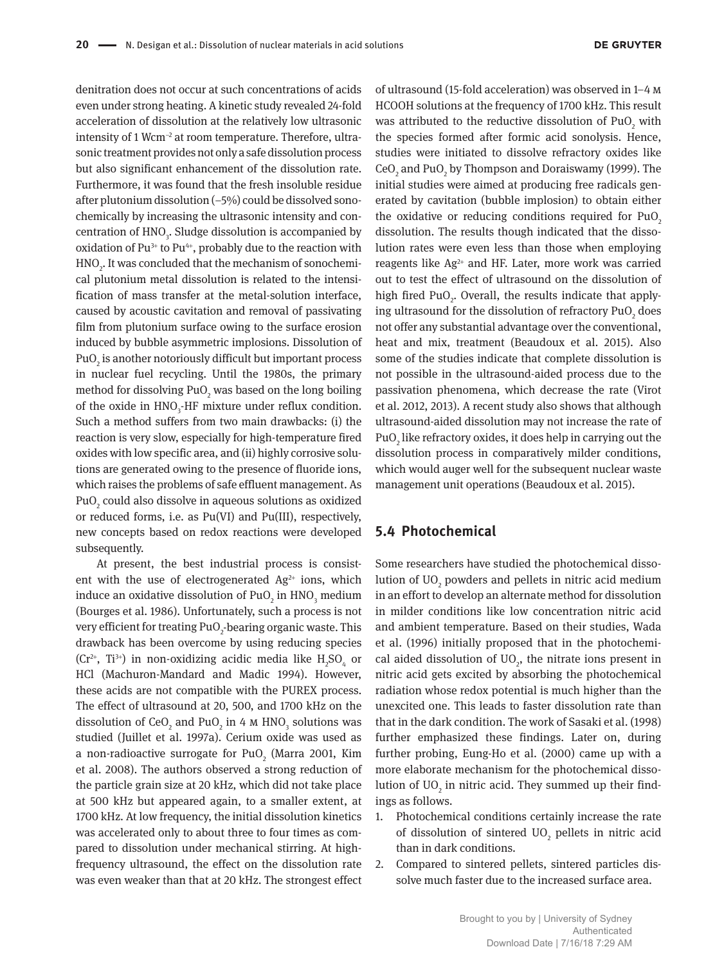denitration does not occur at such concentrations of acids even under strong heating. A kinetic study revealed 24-fold acceleration of dissolution at the relatively low ultrasonic intensity of 1 Wcm−2 at room temperature. Therefore, ultrasonic treatment provides not only a safe dissolution process but also significant enhancement of the dissolution rate. Furthermore, it was found that the fresh insoluble residue after plutonium dissolution (−5%) could be dissolved sonochemically by increasing the ultrasonic intensity and concentration of  $\text{HNO}_3$ . Sludge dissolution is accompanied by oxidation of  $Pu^{3+}$  to  $Pu^{4+}$ , probably due to the reaction with  $\mathrm{HNO}_2$ . It was concluded that the mechanism of sonochemical plutonium metal dissolution is related to the intensification of mass transfer at the metal-solution interface, caused by acoustic cavitation and removal of passivating film from plutonium surface owing to the surface erosion induced by bubble asymmetric implosions. Dissolution of PuO $_2$  is another notoriously difficult but important process in nuclear fuel recycling. Until the 1980s, the primary method for dissolving PuO<sub>2</sub> was based on the long boiling of the oxide in  $HNO<sub>3</sub>$ -HF mixture under reflux condition. Such a method suffers from two main drawbacks: (i) the reaction is very slow, especially for high-temperature fired oxides with low specific area, and (ii) highly corrosive solutions are generated owing to the presence of fluoride ions, which raises the problems of safe effluent management. As PuO $_{\textrm{\tiny{\it 2}}}$  could also dissolve in aqueous solutions as oxidized or reduced forms, i.e. as Pu(VI) and Pu(III), respectively, new concepts based on redox reactions were developed subsequently.

At present, the best industrial process is consistent with the use of electrogenerated  $Ag^{2+}$  ions, which induce an oxidative dissolution of PuO $_2$  in HNO $_3$  medium (Bourges et al. 1986). Unfortunately, such a process is not very efficient for treating  $\text{PuO}_2\text{-}$ bearing organic waste. This drawback has been overcome by using reducing species (Cr<sup>2+</sup>, Ti<sup>3+</sup>) in non-oxidizing acidic media like  $H_2SO_4$  or HCl (Machuron-Mandard and Madic 1994). However, these acids are not compatible with the PUREX process. The effect of ultrasound at 20, 500, and 1700 kHz on the dissolution of  $\text{CeO}_2$  and  $\text{PuO}_2$  in 4 M  $\text{HNO}_3$  solutions was studied (Juillet et al. 1997a). Cerium oxide was used as a non-radioactive surrogate for PuO $_2$  (Marra 2001, Kim et al. 2008). The authors observed a strong reduction of the particle grain size at 20 kHz, which did not take place at 500 kHz but appeared again, to a smaller extent, at 1700 kHz. At low frequency, the initial dissolution kinetics was accelerated only to about three to four times as compared to dissolution under mechanical stirring. At highfrequency ultrasound, the effect on the dissolution rate was even weaker than that at 20 kHz. The strongest effect

of ultrasound (15-fold acceleration) was observed in 1–4 m HCOOH solutions at the frequency of 1700 kHz. This result was attributed to the reductive dissolution of  $\text{PuO}_2$  with the species formed after formic acid sonolysis. Hence, studies were initiated to dissolve refractory oxides like  $\text{CeO}_2$  and PuO<sub>2</sub> by Thompson and Doraiswamy (1999). The initial studies were aimed at producing free radicals generated by cavitation (bubble implosion) to obtain either the oxidative or reducing conditions required for  $PuO<sub>2</sub>$ dissolution. The results though indicated that the dissolution rates were even less than those when employing reagents like  $Ag^{2+}$  and HF. Later, more work was carried out to test the effect of ultrasound on the dissolution of high fired  $PuO<sub>2</sub>$ . Overall, the results indicate that applying ultrasound for the dissolution of refractory  $\text{PuO}_2$  does not offer any substantial advantage over the conventional, heat and mix, treatment (Beaudoux et al. 2015). Also some of the studies indicate that complete dissolution is not possible in the ultrasound-aided process due to the passivation phenomena, which decrease the rate (Virot et al. 2012, 2013). A recent study also shows that although ultrasound-aided dissolution may not increase the rate of  $\mathrm{PuO}_2$  like refractory oxides, it does help in carrying out the dissolution process in comparatively milder conditions, which would auger well for the subsequent nuclear waste management unit operations (Beaudoux et al. 2015).

#### **5.4 Photochemical**

Some researchers have studied the photochemical dissolution of  $\rm{UO}_{2}$  powders and pellets in nitric acid medium in an effort to develop an alternate method for dissolution in milder conditions like low concentration nitric acid and ambient temperature. Based on their studies, Wada et al. (1996) initially proposed that in the photochemical aided dissolution of  $UO<sub>2</sub>$ , the nitrate ions present in nitric acid gets excited by absorbing the photochemical radiation whose redox potential is much higher than the unexcited one. This leads to faster dissolution rate than that in the dark condition. The work of Sasaki et al. (1998) further emphasized these findings. Later on, during further probing, Eung-Ho et al. (2000) came up with a more elaborate mechanism for the photochemical dissolution of UO $_{2}$  in nitric acid. They summed up their findings as follows.

- 1. Photochemical conditions certainly increase the rate of dissolution of sintered  $\text{UO}_2$  pellets in nitric acid than in dark conditions.
- 2. Compared to sintered pellets, sintered particles dissolve much faster due to the increased surface area.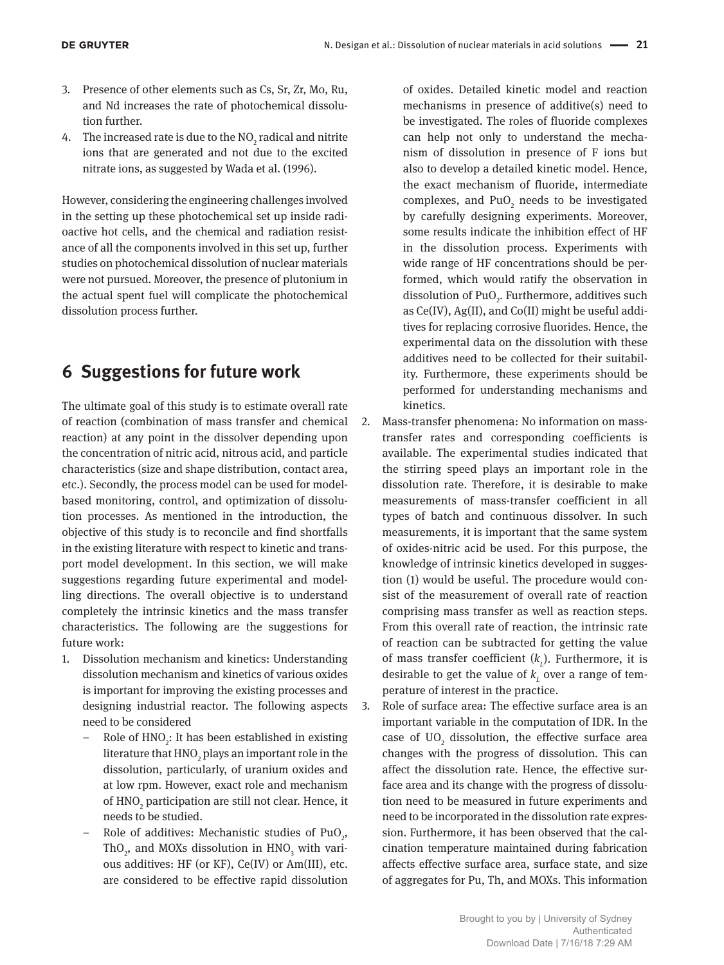- 3. Presence of other elements such as Cs, Sr, Zr, Mo, Ru, and Nd increases the rate of photochemical dissolution further.
- 4. The increased rate is due to the  $NO<sub>2</sub>$  radical and nitrite ions that are generated and not due to the excited nitrate ions, as suggested by Wada et al. (1996).

However, considering the engineering challenges involved in the setting up these photochemical set up inside radioactive hot cells, and the chemical and radiation resistance of all the components involved in this set up, further studies on photochemical dissolution of nuclear materials were not pursued. Moreover, the presence of plutonium in the actual spent fuel will complicate the photochemical dissolution process further.

## **6 Suggestions for future work**

The ultimate goal of this study is to estimate overall rate of reaction (combination of mass transfer and chemical reaction) at any point in the dissolver depending upon the concentration of nitric acid, nitrous acid, and particle characteristics (size and shape distribution, contact area, etc.). Secondly, the process model can be used for modelbased monitoring, control, and optimization of dissolution processes. As mentioned in the introduction, the objective of this study is to reconcile and find shortfalls in the existing literature with respect to kinetic and transport model development. In this section, we will make suggestions regarding future experimental and modelling directions. The overall objective is to understand completely the intrinsic kinetics and the mass transfer characteristics. The following are the suggestions for future work:

- 1. Dissolution mechanism and kinetics: Understanding dissolution mechanism and kinetics of various oxides is important for improving the existing processes and designing industrial reactor. The following aspects need to be considered
	- Role of HNO<sub>2</sub>: It has been established in existing literature that  $\mathrm{HNO}_2$  plays an important role in the dissolution, particularly, of uranium oxides and at low rpm. However, exact role and mechanism of  $\mathrm{HNO}_2$  participation are still not clear. Hence, it needs to be studied.
	- Role of additives: Mechanistic studies of  $PuO<sub>2</sub>$ , ThO<sub>2</sub>, and MOXs dissolution in  $HNO<sub>3</sub>$  with various additives: HF (or KF), Ce(IV) or Am(III), etc. are considered to be effective rapid dissolution

of oxides. Detailed kinetic model and reaction mechanisms in presence of additive(s) need to be investigated. The roles of fluoride complexes can help not only to understand the mechanism of dissolution in presence of F ions but also to develop a detailed kinetic model. Hence, the exact mechanism of fluoride, intermediate complexes, and  $PuO<sub>2</sub>$  needs to be investigated by carefully designing experiments. Moreover, some results indicate the inhibition effect of HF in the dissolution process. Experiments with wide range of HF concentrations should be performed, which would ratify the observation in dissolution of  $PuO<sub>2</sub>$ . Furthermore, additives such as Ce(IV), Ag(II), and Co(II) might be useful additives for replacing corrosive fluorides. Hence, the experimental data on the dissolution with these additives need to be collected for their suitability. Furthermore, these experiments should be performed for understanding mechanisms and kinetics.

- 2. Mass-transfer phenomena: No information on masstransfer rates and corresponding coefficients is available. The experimental studies indicated that the stirring speed plays an important role in the dissolution rate. Therefore, it is desirable to make measurements of mass-transfer coefficient in all types of batch and continuous dissolver. In such measurements, it is important that the same system of oxides-nitric acid be used. For this purpose, the knowledge of intrinsic kinetics developed in suggestion (1) would be useful. The procedure would consist of the measurement of overall rate of reaction comprising mass transfer as well as reaction steps. From this overall rate of reaction, the intrinsic rate of reaction can be subtracted for getting the value of mass transfer coefficient ( $k<sub>L</sub>$ ). Furthermore, it is desirable to get the value of  $k_{\textit{L}}$  over a range of temperature of interest in the practice.
- 3. Role of surface area: The effective surface area is an important variable in the computation of IDR. In the case of  $UO<sub>2</sub>$  dissolution, the effective surface area changes with the progress of dissolution. This can affect the dissolution rate. Hence, the effective surface area and its change with the progress of dissolution need to be measured in future experiments and need to be incorporated in the dissolution rate expression. Furthermore, it has been observed that the calcination temperature maintained during fabrication affects effective surface area, surface state, and size of aggregates for Pu, Th, and MOXs. This information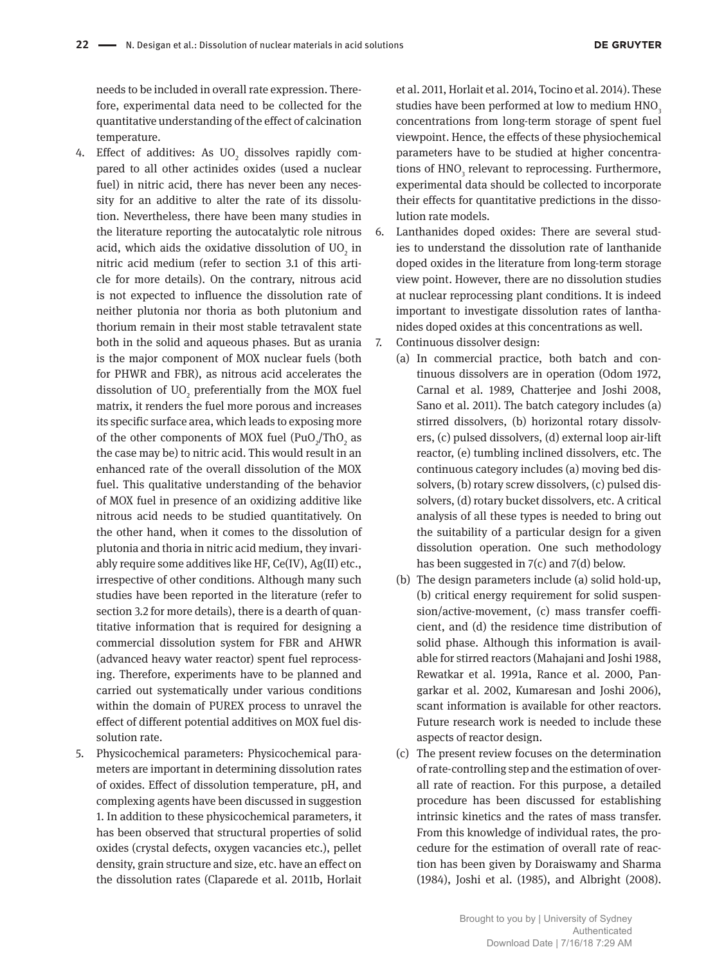needs to be included in overall rate expression. Therefore, experimental data need to be collected for the quantitative understanding of the effect of calcination temperature.

- 4. Effect of additives: As  $\rm UO_{_2}$  dissolves rapidly compared to all other actinides oxides (used a nuclear fuel) in nitric acid, there has never been any necessity for an additive to alter the rate of its dissolution. Nevertheless, there have been many studies in the literature reporting the autocatalytic role nitrous acid, which aids the oxidative dissolution of  $\rm UO_{_2}$  in nitric acid medium (refer to section 3.1 of this article for more details). On the contrary, nitrous acid is not expected to influence the dissolution rate of neither plutonia nor thoria as both plutonium and thorium remain in their most stable tetravalent state both in the solid and aqueous phases. But as urania is the major component of MOX nuclear fuels (both for PHWR and FBR), as nitrous acid accelerates the dissolution of  $\rm{UO}_{2}$  preferentially from the MOX fuel matrix, it renders the fuel more porous and increases its specific surface area, which leads to exposing more of the other components of MOX fuel  $(Puo_1/Tho_2)$  as the case may be) to nitric acid. This would result in an enhanced rate of the overall dissolution of the MOX fuel. This qualitative understanding of the behavior of MOX fuel in presence of an oxidizing additive like nitrous acid needs to be studied quantitatively. On the other hand, when it comes to the dissolution of plutonia and thoria in nitric acid medium, they invariably require some additives like HF, Ce(IV), Ag(II) etc., irrespective of other conditions. Although many such studies have been reported in the literature (refer to section 3.2 for more details), there is a dearth of quantitative information that is required for designing a commercial dissolution system for FBR and AHWR (advanced heavy water reactor) spent fuel reprocessing. Therefore, experiments have to be planned and carried out systematically under various conditions within the domain of PUREX process to unravel the effect of different potential additives on MOX fuel dissolution rate.
- 5. Physicochemical parameters: Physicochemical parameters are important in determining dissolution rates of oxides. Effect of dissolution temperature, pH, and complexing agents have been discussed in suggestion 1. In addition to these physicochemical parameters, it has been observed that structural properties of solid oxides (crystal defects, oxygen vacancies etc.), pellet density, grain structure and size, etc. have an effect on the dissolution rates (Claparede et al. 2011b, Horlait

et al. 2011, Horlait et al. 2014, Tocino et al. 2014). These studies have been performed at low to medium HNO<sub>3</sub> concentrations from long-term storage of spent fuel viewpoint. Hence, the effects of these physiochemical parameters have to be studied at higher concentrations of  $HNO<sub>3</sub>$  relevant to reprocessing. Furthermore, experimental data should be collected to incorporate their effects for quantitative predictions in the dissolution rate models.

- 6. Lanthanides doped oxides: There are several studies to understand the dissolution rate of lanthanide doped oxides in the literature from long-term storage view point. However, there are no dissolution studies at nuclear reprocessing plant conditions. It is indeed important to investigate dissolution rates of lanthanides doped oxides at this concentrations as well.
- 7. Continuous dissolver design:
	- (a) In commercial practice, both batch and continuous dissolvers are in operation (Odom 1972, Carnal et al. 1989, Chatterjee and Joshi 2008, Sano et al. 2011). The batch category includes (a) stirred dissolvers, (b) horizontal rotary dissolvers, (c) pulsed dissolvers, (d) external loop air-lift reactor, (e) tumbling inclined dissolvers, etc. The continuous category includes (a) moving bed dissolvers, (b) rotary screw dissolvers, (c) pulsed dissolvers, (d) rotary bucket dissolvers, etc. A critical analysis of all these types is needed to bring out the suitability of a particular design for a given dissolution operation. One such methodology has been suggested in 7(c) and 7(d) below.
	- (b) The design parameters include (a) solid hold-up, (b) critical energy requirement for solid suspension/active-movement, (c) mass transfer coefficient, and (d) the residence time distribution of solid phase. Although this information is available for stirred reactors (Mahajani and Joshi 1988, Rewatkar et al. 1991a, Rance et al. 2000, Pangarkar et al. 2002, Kumaresan and Joshi 2006), scant information is available for other reactors. Future research work is needed to include these aspects of reactor design.
	- (c) The present review focuses on the determination of rate-controlling step and the estimation of overall rate of reaction. For this purpose, a detailed procedure has been discussed for establishing intrinsic kinetics and the rates of mass transfer. From this knowledge of individual rates, the procedure for the estimation of overall rate of reaction has been given by Doraiswamy and Sharma (1984), Joshi et al. (1985), and Albright (2008).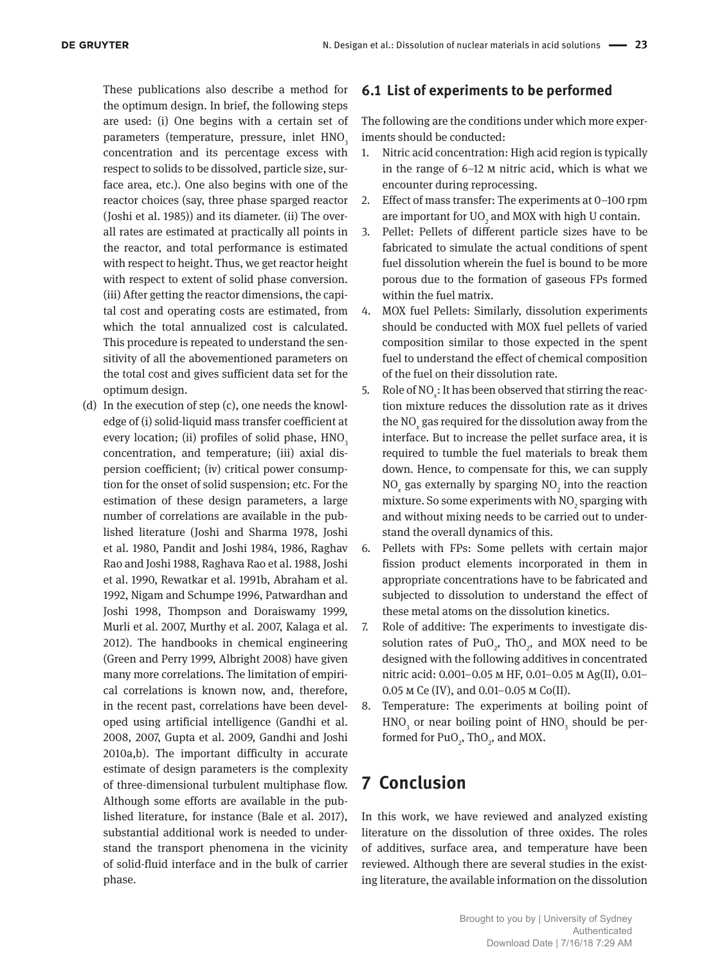These publications also describe a method for the optimum design. In brief, the following steps are used: (i) One begins with a certain set of parameters (temperature, pressure, inlet HNO<sub>3</sub> concentration and its percentage excess with respect to solids to be dissolved, particle size, surface area, etc.). One also begins with one of the reactor choices (say, three phase sparged reactor (Joshi et al. 1985)) and its diameter. (ii) The overall rates are estimated at practically all points in the reactor, and total performance is estimated with respect to height. Thus, we get reactor height with respect to extent of solid phase conversion. (iii) After getting the reactor dimensions, the capital cost and operating costs are estimated, from which the total annualized cost is calculated. This procedure is repeated to understand the sensitivity of all the abovementioned parameters on the total cost and gives sufficient data set for the optimum design.

(d) In the execution of step (c), one needs the knowledge of (i) solid-liquid mass transfer coefficient at every location; (ii) profiles of solid phase, HNO<sub>3</sub> concentration, and temperature; (iii) axial dispersion coefficient; (iv) critical power consumption for the onset of solid suspension; etc. For the estimation of these design parameters, a large number of correlations are available in the published literature (Joshi and Sharma 1978, Joshi et al. 1980, Pandit and Joshi 1984, 1986, Raghav Rao and Joshi 1988, Raghava Rao et al. 1988, Joshi et al. 1990, Rewatkar et al. 1991b, Abraham et al. 1992, Nigam and Schumpe 1996, Patwardhan and Joshi 1998, Thompson and Doraiswamy 1999, Murli et al. 2007, Murthy et al. 2007, Kalaga et al. 2012). The handbooks in chemical engineering (Green and Perry 1999, Albright 2008) have given many more correlations. The limitation of empirical correlations is known now, and, therefore, in the recent past, correlations have been developed using artificial intelligence (Gandhi et al. 2008, 2007, Gupta et al. 2009, Gandhi and Joshi 2010a,b). The important difficulty in accurate estimate of design parameters is the complexity of three-dimensional turbulent multiphase flow. Although some efforts are available in the published literature, for instance (Bale et al. 2017), substantial additional work is needed to understand the transport phenomena in the vicinity of solid-fluid interface and in the bulk of carrier phase.

## **6.1 List of experiments to be performed**

The following are the conditions under which more experiments should be conducted:

- 1. Nitric acid concentration: High acid region is typically in the range of 6–12 m nitric acid, which is what we encounter during reprocessing.
- 2. Effect of mass transfer: The experiments at 0–100 rpm are important for  $UO<sub>2</sub>$  and MOX with high U contain.
- 3. Pellet: Pellets of different particle sizes have to be fabricated to simulate the actual conditions of spent fuel dissolution wherein the fuel is bound to be more porous due to the formation of gaseous FPs formed within the fuel matrix.
- 4. MOX fuel Pellets: Similarly, dissolution experiments should be conducted with MOX fuel pellets of varied composition similar to those expected in the spent fuel to understand the effect of chemical composition of the fuel on their dissolution rate.
- 5. Role of NO*<sup>x</sup>* : It has been observed that stirring the reaction mixture reduces the dissolution rate as it drives the NO*<sup>x</sup>* gas required for the dissolution away from the interface. But to increase the pellet surface area, it is required to tumble the fuel materials to break them down. Hence, to compensate for this, we can supply  $NO<sub>x</sub>$  gas externally by sparging  $NO<sub>2</sub>$  into the reaction mixture. So some experiments with  $\mathrm{NO}_2$  sparging with and without mixing needs to be carried out to understand the overall dynamics of this.
- 6. Pellets with FPs: Some pellets with certain major fission product elements incorporated in them in appropriate concentrations have to be fabricated and subjected to dissolution to understand the effect of these metal atoms on the dissolution kinetics.
- 7. Role of additive: The experiments to investigate dissolution rates of  $PuO<sub>2</sub>$ , Th $O<sub>2</sub>$ , and MOX need to be designed with the following additives in concentrated nitric acid: 0.001–0.05 m HF, 0.01–0.05 m Ag(II), 0.01– 0.05 m Ce (IV), and 0.01–0.05 m Co(II).
- 8. Temperature: The experiments at boiling point of  $HNO<sub>3</sub>$  or near boiling point of  $HNO<sub>3</sub>$  should be performed for  $PuO<sub>2</sub>$ , ThO<sub>2</sub>, and MOX.

## **7 Conclusion**

In this work, we have reviewed and analyzed existing literature on the dissolution of three oxides. The roles of additives, surface area, and temperature have been reviewed. Although there are several studies in the existing literature, the available information on the dissolution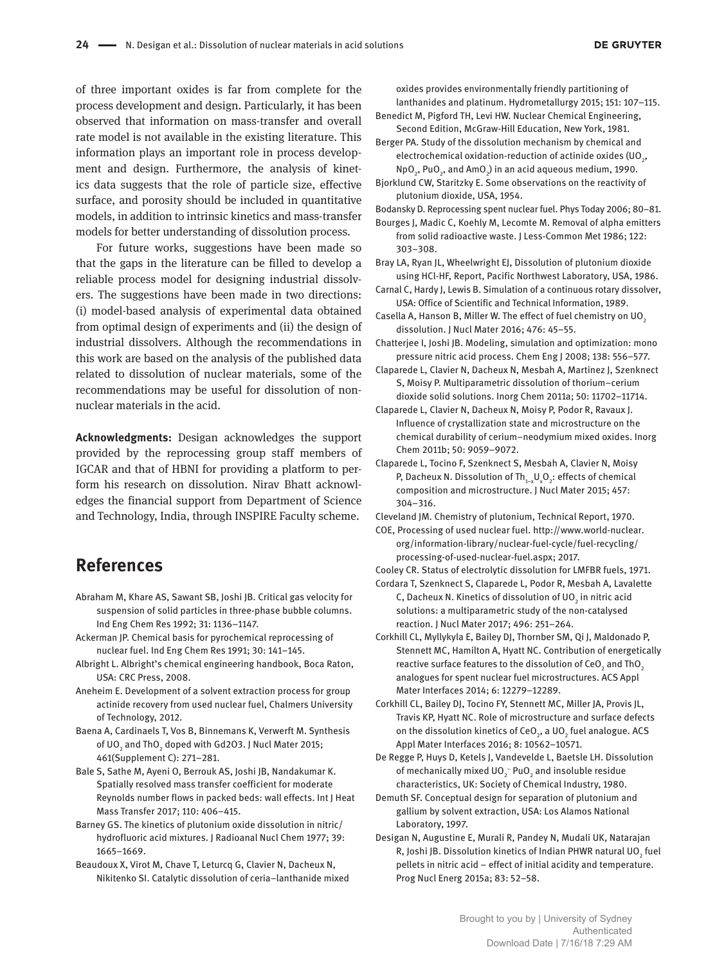of three important oxides is far from complete for the process development and design. Particularly, it has been observed that information on mass-transfer and overall rate model is not available in the existing literature. This information plays an important role in process development and design. Furthermore, the analysis of kinetics data suggests that the role of particle size, effective surface, and porosity should be included in quantitative models, in addition to intrinsic kinetics and mass-transfer models for better understanding of dissolution process.

For future works, suggestions have been made so that the gaps in the literature can be filled to develop a reliable process model for designing industrial dissolvers. The suggestions have been made in two directions: (i) model-based analysis of experimental data obtained from optimal design of experiments and (ii) the design of industrial dissolvers. Although the recommendations in this work are based on the analysis of the published data related to dissolution of nuclear materials, some of the recommendations may be useful for dissolution of nonnuclear materials in the acid.

**Acknowledgments:** Desigan acknowledges the support provided by the reprocessing group staff members of IGCAR and that of HBNI for providing a platform to perform his research on dissolution. Nirav Bhatt acknowledges the financial support from Department of Science and Technology, India, through INSPIRE Faculty scheme.

## **References**

- Abraham M, Khare AS, Sawant SB, Joshi JB. Critical gas velocity for suspension of solid particles in three-phase bubble columns. Ind Eng Chem Res 1992; 31: 1136–1147.
- Ackerman JP. Chemical basis for pyrochemical reprocessing of nuclear fuel. Ind Eng Chem Res 1991; 30: 141–145.
- Albright L. Albright's chemical engineering handbook, Boca Raton, USA: CRC Press, 2008.
- Aneheim E. Development of a solvent extraction process for group actinide recovery from used nuclear fuel, Chalmers University of Technology, 2012.
- Baena A, Cardinaels T, Vos B, Binnemans K, Verwerft M. Synthesis of UO $_{\rm 2}$  and ThO $_{\rm 2}$  doped with Gd2O3. J Nucl Mater 2015; 461(Supplement C): 271–281.
- Bale S, Sathe M, Ayeni O, Berrouk AS, Joshi JB, Nandakumar K. Spatially resolved mass transfer coefficient for moderate Reynolds number flows in packed beds: wall effects. Int J Heat Mass Transfer 2017; 110: 406–415.
- Barney GS. The kinetics of plutonium oxide dissolution in nitric/ hydrofluoric acid mixtures. J Radioanal Nucl Chem 1977; 39: 1665–1669.
- Beaudoux X, Virot M, Chave T, Leturcq G, Clavier N, Dacheux N, Nikitenko SI. Catalytic dissolution of ceria–lanthanide mixed

oxides provides environmentally friendly partitioning of lanthanides and platinum. Hydrometallurgy 2015; 151: 107–115.

- Benedict M, Pigford TH, Levi HW. Nuclear Chemical Engineering, Second Edition, McGraw-Hill Education, New York, 1981.
- Berger PA. Study of the dissolution mechanism by chemical and electrochemical oxidation-reduction of actinide oxides (UO $_{\textrm{\tiny{2}}}$ ,  $\textsf{Npo}_2$ , PuO<sub>2</sub>, and AmO<sub>2</sub>) in an acid aqueous medium, 1990.
- Bjorklund CW, Staritzky E. Some observations on the reactivity of plutonium dioxide, USA, 1954.
- Bodansky D. Reprocessing spent nuclear fuel. Phys Today 2006; 80–81.
- Bourges J, Madic C, Koehly M, Lecomte M. Removal of alpha emitters from solid radioactive waste. J Less-Common Met 1986; 122: 303–308.
- Bray LA, Ryan JL, Wheelwright EJ, Dissolution of plutonium dioxide using HCl-HF, Report, Pacific Northwest Laboratory, USA, 1986.
- Carnal C, Hardy J, Lewis B. Simulation of a continuous rotary dissolver, USA: Office of Scientific and Technical Information, 1989.
- Casella A, Hanson B, Miller W. The effect of fuel chemistry on UO<sub>2</sub> dissolution. J Nucl Mater 2016; 476: 45–55.
- Chatterjee I, Joshi JB. Modeling, simulation and optimization: mono pressure nitric acid process. Chem Eng J 2008; 138: 556–577.
- Claparede L, Clavier N, Dacheux N, Mesbah A, Martinez J, Szenknect S, Moisy P. Multiparametric dissolution of thorium–cerium dioxide solid solutions. Inorg Chem 2011a; 50: 11702–11714.
- Claparede L, Clavier N, Dacheux N, Moisy P, Podor R, Ravaux J. Influence of crystallization state and microstructure on the chemical durability of cerium–neodymium mixed oxides. Inorg Chem 2011b; 50: 9059–9072.
- Claparede L, Tocino F, Szenknect S, Mesbah A, Clavier N, Moisy P, Dacheux N. Dissolution of Th $_{1-x}U_xO_2$ : effects of chemical composition and microstructure. J Nucl Mater 2015; 457: 304–316.
- Cleveland JM. Chemistry of plutonium, Technical Report, 1970.
- COE, Processing of used nuclear fuel. http://www.world-nuclear. org/information-library/nuclear-fuel-cycle/fuel-recycling/ processing-of-used-nuclear-fuel.aspx; 2017.
- Cooley CR. Status of electrolytic dissolution for LMFBR fuels, 1971.
- Cordara T, Szenknect S, Claparede L, Podor R, Mesbah A, Lavalette C, Dacheux N. Kinetics of dissolution of UO $_{\textrm{\tiny{2}}}$  in nitric acid solutions: a multiparametric study of the non-catalysed reaction. J Nucl Mater 2017; 496: 251–264.
- Corkhill CL, Myllykyla E, Bailey DJ, Thornber SM, Qi J, Maldonado P, Stennett MC, Hamilton A, Hyatt NC. Contribution of energetically reactive surface features to the dissolution of CeO<sub>2</sub> and ThO<sub>2</sub> analogues for spent nuclear fuel microstructures. ACS Appl Mater Interfaces 2014; 6: 12279–12289.
- Corkhill CL, Bailey DJ, Tocino FY, Stennett MC, Miller JA, Provis JL, Travis KP, Hyatt NC. Role of microstructure and surface defects on the dissolution kinetics of CeO<sub>2</sub>, a UO<sub>2</sub> fuel analogue. ACS Appl Mater Interfaces 2016; 8: 10562–10571.
- De Regge P, Huys D, Ketels J, Vandevelde L, Baetsle LH. Dissolution of mechanically mixed UO $_2^-$  PuO $_2$  and insoluble residue characteristics, UK: Society of Chemical Industry, 1980.
- Demuth SF. Conceptual design for separation of plutonium and gallium by solvent extraction, USA: Los Alamos National Laboratory, 1997.
- Desigan N, Augustine E, Murali R, Pandey N, Mudali UK, Natarajan R, Joshi JB. Dissolution kinetics of Indian PHWR natural UO $_{\rm 2}$  fuel pellets in nitric acid – effect of initial acidity and temperature. Prog Nucl Energ 2015a; 83: 52–58.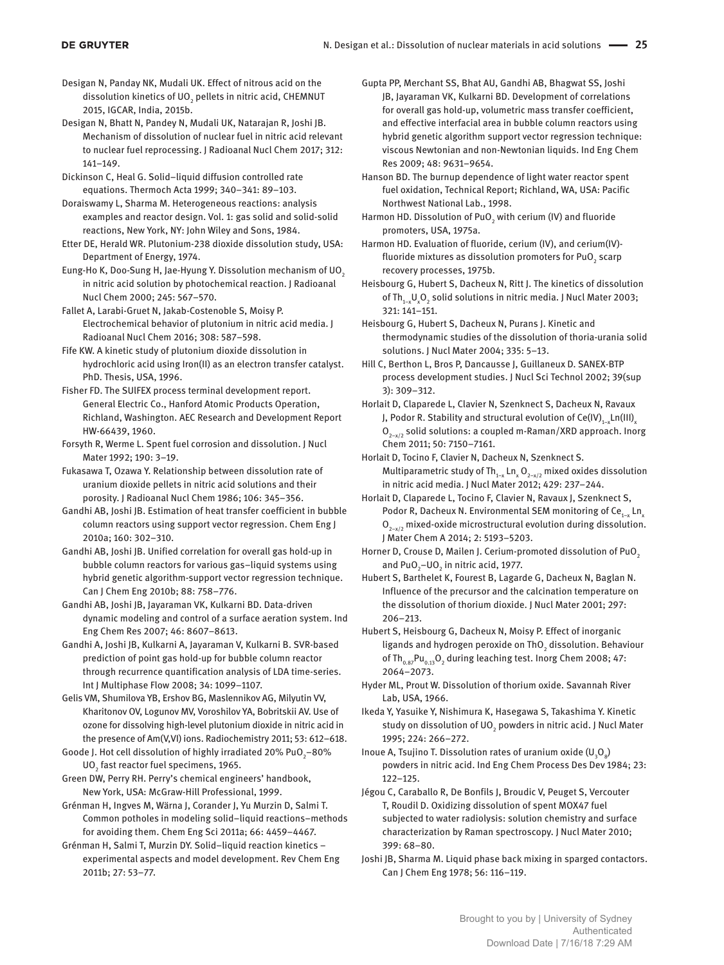- Desigan N, Panday NK, Mudali UK. Effect of nitrous acid on the dissolution kinetics of UO $_{_2}$  pellets in nitric acid, CHEMNUT 2015, IGCAR, India, 2015b.
- Desigan N, Bhatt N, Pandey N, Mudali UK, Natarajan R, Joshi JB. Mechanism of dissolution of nuclear fuel in nitric acid relevant to nuclear fuel reprocessing. J Radioanal Nucl Chem 2017; 312: 141–149.
- Dickinson C, Heal G. Solid–liquid diffusion controlled rate equations. Thermoch Acta 1999; 340–341: 89–103.
- Doraiswamy L, Sharma M. Heterogeneous reactions: analysis examples and reactor design. Vol. 1: gas solid and solid-solid reactions, New York, NY: John Wiley and Sons, 1984.
- Etter DE, Herald WR. Plutonium-238 dioxide dissolution study, USA: Department of Energy, 1974.
- Eung-Ho K, Doo-Sung H, Jae-Hyung Y. Dissolution mechanism of UO<sub>2</sub> in nitric acid solution by photochemical reaction. J Radioanal Nucl Chem 2000; 245: 567–570.
- Fallet A, Larabi-Gruet N, Jakab-Costenoble S, Moisy P. Electrochemical behavior of plutonium in nitric acid media. J Radioanal Nucl Chem 2016; 308: 587–598.
- Fife KW. A kinetic study of plutonium dioxide dissolution in hydrochloric acid using Iron(II) as an electron transfer catalyst. PhD. Thesis, USA, 1996.
- Fisher FD. The SUlFEX process terminal development report. General Electric Co., Hanford Atomic Products Operation, Richland, Washington. AEC Research and Development Report HW-66439, 1960.
- Forsyth R, Werme L. Spent fuel corrosion and dissolution. J Nucl Mater 1992; 190: 3–19.
- Fukasawa T, Ozawa Y. Relationship between dissolution rate of uranium dioxide pellets in nitric acid solutions and their porosity. J Radioanal Nucl Chem 1986; 106: 345–356.
- Gandhi AB, Joshi JB. Estimation of heat transfer coefficient in bubble column reactors using support vector regression. Chem Eng J 2010a; 160: 302–310.
- Gandhi AB, Joshi JB. Unified correlation for overall gas hold-up in bubble column reactors for various gas–liquid systems using hybrid genetic algorithm-support vector regression technique. Can J Chem Eng 2010b; 88: 758–776.
- Gandhi AB, Joshi JB, Jayaraman VK, Kulkarni BD. Data-driven dynamic modeling and control of a surface aeration system. Ind Eng Chem Res 2007; 46: 8607–8613.
- Gandhi A, Joshi JB, Kulkarni A, Jayaraman V, Kulkarni B. SVR-based prediction of point gas hold-up for bubble column reactor through recurrence quantification analysis of LDA time-series. Int J Multiphase Flow 2008; 34: 1099–1107.
- Gelis VM, Shumilova YB, Ershov BG, Maslennikov AG, Milyutin VV, Kharitonov OV, Logunov MV, Voroshilov YA, Bobritskii AV. Use of ozone for dissolving high-level plutonium dioxide in nitric acid in the presence of Am(V,VI) ions. Radiochemistry 2011; 53: 612–618.
- Goode J. Hot cell dissolution of highly irradiated 20% PuO<sub>2</sub>–80% UO $_{\text{2}}$  fast reactor fuel specimens, 1965.
- Green DW, Perry RH. Perry's chemical engineers' handbook, New York, USA: McGraw-Hill Professional, 1999.
- Grénman H, Ingves M, Wärna J, Corander J, Yu Murzin D, Salmi T. Common potholes in modeling solid–liquid reactions–methods for avoiding them. Chem Eng Sci 2011a; 66: 4459–4467.
- Grénman H, Salmi T, Murzin DY. Solid–liquid reaction kinetics experimental aspects and model development. Rev Chem Eng 2011b; 27: 53–77.
- Gupta PP, Merchant SS, Bhat AU, Gandhi AB, Bhagwat SS, Joshi JB, Jayaraman VK, Kulkarni BD. Development of correlations for overall gas hold-up, volumetric mass transfer coefficient, and effective interfacial area in bubble column reactors using hybrid genetic algorithm support vector regression technique: viscous Newtonian and non-Newtonian liquids. Ind Eng Chem Res 2009; 48: 9631–9654.
- Hanson BD. The burnup dependence of light water reactor spent fuel oxidation, Technical Report; Richland, WA, USA: Pacific Northwest National Lab., 1998.
- Harmon HD. Dissolution of PuO $_2$  with cerium (IV) and fluoride promoters, USA, 1975a.
- Harmon HD. Evaluation of fluoride, cerium (IV), and cerium(IV) fluoride mixtures as dissolution promoters for PuO $_{\rm 2}$  scarp recovery processes, 1975b.
- Heisbourg G, Hubert S, Dacheux N, Ritt J. The kinetics of dissolution of Th<sub>1-x</sub>U<sub>x</sub>O<sub>2</sub> solid solutions in nitric media. J Nucl Mater 2003; 321: 141–151.
- Heisbourg G, Hubert S, Dacheux N, Purans J. Kinetic and thermodynamic studies of the dissolution of thoria-urania solid solutions. J Nucl Mater 2004; 335: 5–13.
- Hill C, Berthon L, Bros P, Dancausse J, Guillaneux D. SANEX-BTP process development studies. J Nucl Sci Technol 2002; 39(sup 3): 309–312.
- Horlait D, Claparede L, Clavier N, Szenknect S, Dacheux N, Ravaux J, Podor R. Stability and structural evolution of Ce(IV)<sub>1−x</sub>Ln(III)<sub>,</sub>  $O_{2-x/2}$  solid solutions: a coupled m-Raman/XRD approach. Inorg Chem 2011; 50: 7150–7161.
- Horlait D, Tocino F, Clavier N, Dacheux N, Szenknect S. Multiparametric study of Th<sub>1−x</sub> Ln<sub>x</sub> O<sub>2−x/2</sub> mixed oxides dissolution in nitric acid media. J Nucl Mater 2012; 429: 237–244.
- Horlait D, Claparede L, Tocino F, Clavier N, Ravaux J, Szenknect S, Podor R, Dacheux N. Environmental SEM monitoring of Ce<sub>1-x</sub> Ln<sub>v</sub>  $O_{2-x/2}$  mixed-oxide microstructural evolution during dissolution. J Mater Chem A 2014; 2: 5193–5203.
- Horner D, Crouse D, Mailen J. Cerium-promoted dissolution of PuO<sub>2</sub> and PuO $_{2}$ –UO $_{2}$  in nitric acid, 1977.
- Hubert S, Barthelet K, Fourest B, Lagarde G, Dacheux N, Baglan N. Influence of the precursor and the calcination temperature on the dissolution of thorium dioxide. J Nucl Mater 2001; 297: 206–213.
- Hubert S, Heisbourg G, Dacheux N, Moisy P. Effect of inorganic ligands and hydrogen peroxide on ThO<sub>2</sub> dissolution. Behaviour of Th $_{0.87}$ Pu $_{0.13}$ O<sub>2</sub> during leaching test. Inorg Chem 2008; 47: 2064–2073.
- Hyder ML, Prout W. Dissolution of thorium oxide. Savannah River Lab, USA, 1966.
- Ikeda Y, Yasuike Y, Nishimura K, Hasegawa S, Takashima Y. Kinetic study on dissolution of UO $_{\textrm{\tiny{2}}}$  powders in nitric acid. J Nucl Mater 1995; 224: 266–272.
- Inoue A, Tsujino T. Dissolution rates of uranium oxide  $(\mathsf{U}_{\mathsf{3}}\mathsf{O}_{\mathsf{8}})$ powders in nitric acid. Ind Eng Chem Process Des Dev 1984; 23: 122–125.
- Jégou C, Caraballo R, De Bonfils J, Broudic V, Peuget S, Vercouter T, Roudil D. Oxidizing dissolution of spent MOX47 fuel subjected to water radiolysis: solution chemistry and surface characterization by Raman spectroscopy. J Nucl Mater 2010; 399: 68–80.
- Joshi JB, Sharma M. Liquid phase back mixing in sparged contactors. Can J Chem Eng 1978; 56: 116–119.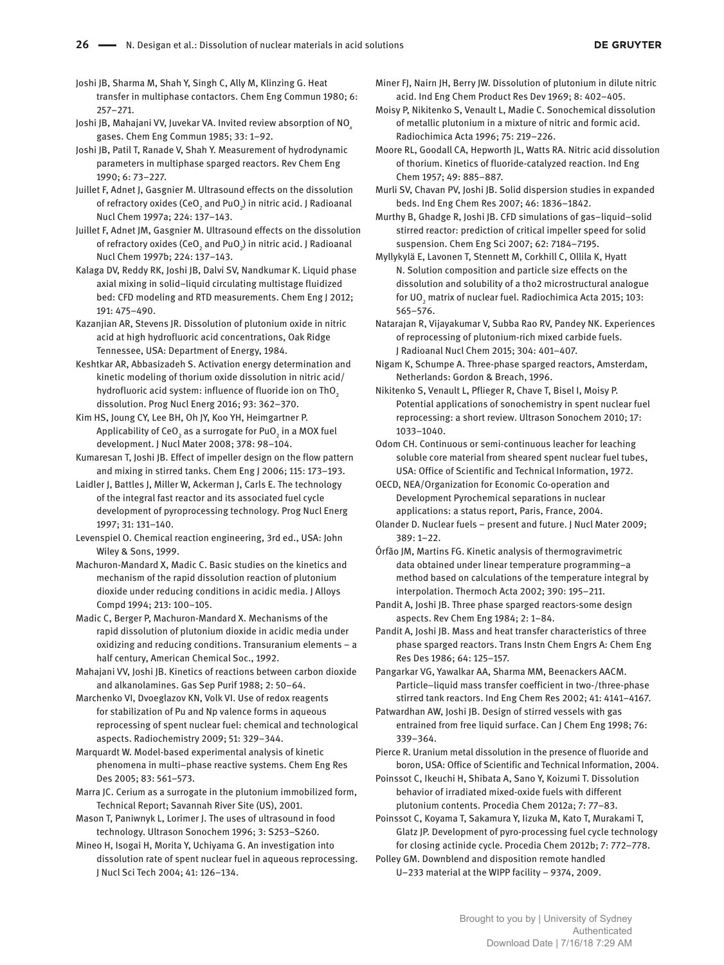Joshi JB, Sharma M, Shah Y, Singh C, Ally M, Klinzing G. Heat transfer in multiphase contactors. Chem Eng Commun 1980; 6: 257–271.

Joshi JB, Mahajani VV, Juvekar VA. Invited review absorption of NO*<sup>x</sup>* gases. Chem Eng Commun 1985; 33: 1–92.

Joshi JB, Patil T, Ranade V, Shah Y. Measurement of hydrodynamic parameters in multiphase sparged reactors. Rev Chem Eng 1990; 6: 73–227.

Juillet F, Adnet J, Gasgnier M. Ultrasound effects on the dissolution of refractory oxides (CeO $_{_2}$  and PuO $_{\rm 2}$ ) in nitric acid. J Radioanal Nucl Chem 1997a; 224: 137–143.

Juillet F, Adnet JM, Gasgnier M. Ultrasound effects on the dissolution of refractory oxides (CeO $_{_2}$  and PuO $_{\rm 2}$ ) in nitric acid. J Radioanal Nucl Chem 1997b; 224: 137–143.

Kalaga DV, Reddy RK, Joshi JB, Dalvi SV, Nandkumar K. Liquid phase axial mixing in solid–liquid circulating multistage fluidized bed: CFD modeling and RTD measurements. Chem Eng J 2012; 191: 475–490.

Kazanjian AR, Stevens JR. Dissolution of plutonium oxide in nitric acid at high hydrofluoric acid concentrations, Oak Ridge Tennessee, USA: Department of Energy, 1984.

Keshtkar AR, Abbasizadeh S. Activation energy determination and kinetic modeling of thorium oxide dissolution in nitric acid/ hydrofluoric acid system: influence of fluoride ion on ThO<sub>2</sub> dissolution. Prog Nucl Energ 2016; 93: 362–370.

Kim HS, Joung CY, Lee BH, Oh JY, Koo YH, Heimgartner P. Applicability of CeO $_{_2}$  as a surrogate for PuO $_{_2}$  in a MOX fuel development. J Nucl Mater 2008; 378: 98–104.

Kumaresan T, Joshi JB. Effect of impeller design on the flow pattern and mixing in stirred tanks. Chem Eng J 2006; 115: 173–193.

Laidler J, Battles J, Miller W, Ackerman J, Carls E. The technology of the integral fast reactor and its associated fuel cycle development of pyroprocessing technology. Prog Nucl Energ 1997; 31: 131–140.

Levenspiel O. Chemical reaction engineering, 3rd ed., USA: John Wiley & Sons, 1999.

Machuron-Mandard X, Madic C. Basic studies on the kinetics and mechanism of the rapid dissolution reaction of plutonium dioxide under reducing conditions in acidic media. J Alloys Compd 1994; 213: 100–105.

Madic C, Berger P, Machuron-Mandard X. Mechanisms of the rapid dissolution of plutonium dioxide in acidic media under oxidizing and reducing conditions. Transuranium elements – a half century, American Chemical Soc., 1992.

Mahajani VV, Joshi JB. Kinetics of reactions between carbon dioxide and alkanolamines. Gas Sep Purif 1988; 2: 50–64.

Marchenko VI, Dvoeglazov KN, Volk VI. Use of redox reagents for stabilization of Pu and Np valence forms in aqueous reprocessing of spent nuclear fuel: chemical and technological aspects. Radiochemistry 2009; 51: 329–344.

Marquardt W. Model-based experimental analysis of kinetic phenomena in multi–phase reactive systems. Chem Eng Res Des 2005; 83: 561–573.

Marra JC. Cerium as a surrogate in the plutonium immobilized form, Technical Report; Savannah River Site (US), 2001.

Mason T, Paniwnyk L, Lorimer J. The uses of ultrasound in food technology. Ultrason Sonochem 1996; 3: S253–S260.

Mineo H, Isogai H, Morita Y, Uchiyama G. An investigation into dissolution rate of spent nuclear fuel in aqueous reprocessing. J Nucl Sci Tech 2004; 41: 126–134.

Miner FJ, Nairn JH, Berry JW. Dissolution of plutonium in dilute nitric acid. Ind Eng Chem Product Res Dev 1969; 8: 402–405.

Moisy P, Nikitenko S, Venault L, Madie C. Sonochemical dissolution of metallic plutonium in a mixture of nitric and formic acid. Radiochimica Acta 1996; 75: 219–226.

Moore RL, Goodall CA, Hepworth JL, Watts RA. Nitric acid dissolution of thorium. Kinetics of fluoride-catalyzed reaction. Ind Eng Chem 1957; 49: 885–887.

Murli SV, Chavan PV, Joshi JB. Solid dispersion studies in expanded beds. Ind Eng Chem Res 2007; 46: 1836–1842.

Murthy B, Ghadge R, Joshi JB. CFD simulations of gas–liquid–solid stirred reactor: prediction of critical impeller speed for solid suspension. Chem Eng Sci 2007; 62: 7184–7195.

Myllykylä E, Lavonen T, Stennett M, Corkhill C, Ollila K, Hyatt N. Solution composition and particle size effects on the dissolution and solubility of a tho2 microstructural analogue for UO $_{\rm _2}$  matrix of nuclear fuel. Radiochimica Acta 2015; 103: 565–576.

Natarajan R, Vijayakumar V, Subba Rao RV, Pandey NK. Experiences of reprocessing of plutonium-rich mixed carbide fuels. J Radioanal Nucl Chem 2015; 304: 401–407.

Nigam K, Schumpe A. Three-phase sparged reactors, Amsterdam, Netherlands: Gordon & Breach, 1996.

Nikitenko S, Venault L, Pflieger R, Chave T, Bisel I, Moisy P. Potential applications of sonochemistry in spent nuclear fuel reprocessing: a short review. Ultrason Sonochem 2010; 17: 1033–1040.

Odom CH. Continuous or semi-continuous leacher for leaching soluble core material from sheared spent nuclear fuel tubes, USA: Office of Scientific and Technical Information, 1972.

OECD, NEA/Organization for Economic Co-operation and Development Pyrochemical separations in nuclear applications: a status report, Paris, France, 2004.

Olander D. Nuclear fuels – present and future. J Nucl Mater 2009;  $389.1 - 22.$ 

Órfão JM, Martins FG. Kinetic analysis of thermogravimetric data obtained under linear temperature programming–a method based on calculations of the temperature integral by interpolation. Thermoch Acta 2002; 390: 195–211.

Pandit A, Joshi JB. Three phase sparged reactors-some design aspects. Rev Chem Eng 1984; 2: 1–84.

Pandit A, Joshi JB. Mass and heat transfer characteristics of three phase sparged reactors. Trans Instn Chem Engrs A: Chem Eng Res Des 1986; 64: 125–157.

Pangarkar VG, Yawalkar AA, Sharma MM, Beenackers AACM. Particle–liquid mass transfer coefficient in two-/three-phase stirred tank reactors. Ind Eng Chem Res 2002; 41: 4141–4167.

Patwardhan AW, Joshi JB. Design of stirred vessels with gas entrained from free liquid surface. Can J Chem Eng 1998; 76: 339–364.

Pierce R. Uranium metal dissolution in the presence of fluoride and boron, USA: Office of Scientific and Technical Information, 2004.

Poinssot C, Ikeuchi H, Shibata A, Sano Y, Koizumi T. Dissolution behavior of irradiated mixed-oxide fuels with different plutonium contents. Procedia Chem 2012a; 7: 77–83.

Poinssot C, Koyama T, Sakamura Y, Iizuka M, Kato T, Murakami T, Glatz JP. Development of pyro-processing fuel cycle technology for closing actinide cycle. Procedia Chem 2012b; 7: 772–778.

Polley GM. Downblend and disposition remote handled U–233 material at the WIPP facility – 9374, 2009.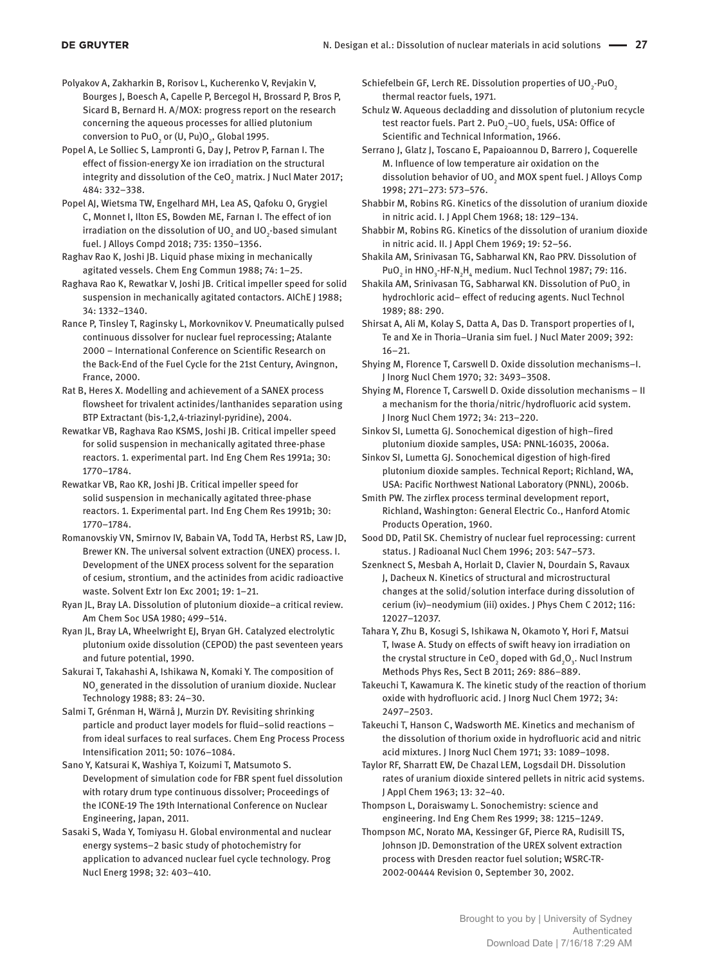Polyakov A, Zakharkin B, Rorisov L, Kucherenko V, Revjakin V, Bourges J, Boesch A, Capelle P, Bercegol H, Brossard P, Bros P, Sicard B, Bernard H. A/MOX: progress report on the research concerning the aqueous processes for allied plutonium conversion to PuO $_{\textrm{\tiny{2}}}$  or (U, Pu)O $_{\textrm{\tiny{2}}}$ , Global 1995.

Popel A, Le Solliec S, Lampronti G, Day J, Petrov P, Farnan I. The effect of fission-energy Xe ion irradiation on the structural integrity and dissolution of the CeO $_{_2}$  matrix. J Nucl Mater 2017; 484: 332–338.

Popel AJ, Wietsma TW, Engelhard MH, Lea AS, Qafoku O, Grygiel C, Monnet I, Ilton ES, Bowden ME, Farnan I. The effect of ion irradiation on the dissolution of UO $_2$  and UO $_2$ -based simulant fuel. J Alloys Compd 2018; 735: 1350–1356.

Raghav Rao K, Joshi JB. Liquid phase mixing in mechanically agitated vessels. Chem Eng Commun 1988; 74: 1–25.

Raghava Rao K, Rewatkar V, Joshi JB. Critical impeller speed for solid suspension in mechanically agitated contactors. AIChE J 1988; 34: 1332–1340.

Rance P, Tinsley T, Raginsky L, Morkovnikov V. Pneumatically pulsed continuous dissolver for nuclear fuel reprocessing; Atalante 2000 – International Conference on Scientific Research on the Back-End of the Fuel Cycle for the 21st Century, Avingnon, France, 2000.

Rat B, Heres X. Modelling and achievement of a SANEX process flowsheet for trivalent actinides/lanthanides separation using BTP Extractant (bis-1,2,4-triazinyl-pyridine), 2004.

Rewatkar VB, Raghava Rao KSMS, Joshi JB. Critical impeller speed for solid suspension in mechanically agitated three-phase reactors. 1. experimental part. Ind Eng Chem Res 1991a; 30: 1770–1784.

Rewatkar VB, Rao KR, Joshi JB. Critical impeller speed for solid suspension in mechanically agitated three-phase reactors. 1. Experimental part. Ind Eng Chem Res 1991b; 30: 1770–1784.

Romanovskiy VN, Smirnov IV, Babain VA, Todd TA, Herbst RS, Law JD, Brewer KN. The universal solvent extraction (UNEX) process. I. Development of the UNEX process solvent for the separation of cesium, strontium, and the actinides from acidic radioactive waste. Solvent Extr Ion Exc 2001; 19: 1–21.

Ryan JL, Bray LA. Dissolution of plutonium dioxide–a critical review. Am Chem Soc USA 1980; 499–514.

Ryan JL, Bray LA, Wheelwright EJ, Bryan GH. Catalyzed electrolytic plutonium oxide dissolution (CEPOD) the past seventeen years and future potential, 1990.

Sakurai T, Takahashi A, Ishikawa N, Komaki Y. The composition of NO*<sup>x</sup>* generated in the dissolution of uranium dioxide. Nuclear Technology 1988; 83: 24–30.

Salmi T, Grénman H, Wärnå J, Murzin DY. Revisiting shrinking particle and product layer models for fluid–solid reactions – from ideal surfaces to real surfaces. Chem Eng Process Process Intensification 2011; 50: 1076–1084.

Sano Y, Katsurai K, Washiya T, Koizumi T, Matsumoto S. Development of simulation code for FBR spent fuel dissolution with rotary drum type continuous dissolver; Proceedings of the ICONE-19 The 19th International Conference on Nuclear Engineering, Japan, 2011.

Sasaki S, Wada Y, Tomiyasu H. Global environmental and nuclear energy systems–2 basic study of photochemistry for application to advanced nuclear fuel cycle technology. Prog Nucl Energ 1998; 32: 403–410.

Schiefelbein GF, Lerch RE. Dissolution properties of UO<sub>2</sub>-PuO<sub>2</sub> thermal reactor fuels, 1971.

Schulz W. Aqueous decladding and dissolution of plutonium recycle test reactor fuels. Part 2. PuO<sub>2</sub>–UO<sub>2</sub> fuels, USA: Office of Scientific and Technical Information, 1966.

Serrano J, Glatz J, Toscano E, Papaioannou D, Barrero J, Coquerelle M. Influence of low temperature air oxidation on the dissolution behavior of UO<sub>2</sub> and MOX spent fuel. J Alloys Comp 1998; 271–273: 573–576.

Shabbir M, Robins RG. Kinetics of the dissolution of uranium dioxide in nitric acid. I. J Appl Chem 1968; 18: 129–134.

Shabbir M, Robins RG. Kinetics of the dissolution of uranium dioxide in nitric acid. II. J Appl Chem 1969; 19: 52–56.

Shakila AM, Srinivasan TG, Sabharwal KN, Rao PRV. Dissolution of PuO<sub>2</sub> in HNO<sub>3</sub>-HF-N<sub>2</sub>H<sub>4</sub> medium. Nucl Technol 1987; 79: 116.

Shakila AM, Srinivasan TG, Sabharwal KN. Dissolution of PuO $_2$  in hydrochloric acid– effect of reducing agents. Nucl Technol 1989; 88: 290.

Shirsat A, Ali M, Kolay S, Datta A, Das D. Transport properties of I, Te and Xe in Thoria–Urania sim fuel. J Nucl Mater 2009; 392: 16–21.

Shying M, Florence T, Carswell D. Oxide dissolution mechanisms–I. J Inorg Nucl Chem 1970; 32: 3493–3508.

Shying M, Florence T, Carswell D. Oxide dissolution mechanisms – II a mechanism for the thoria/nitric/hydrofluoric acid system. J Inorg Nucl Chem 1972; 34: 213–220.

Sinkov SI, Lumetta GJ. Sonochemical digestion of high–fired plutonium dioxide samples, USA: PNNL-16035, 2006a.

Sinkov SI, Lumetta GJ. Sonochemical digestion of high-fired plutonium dioxide samples. Technical Report; Richland, WA, USA: Pacific Northwest National Laboratory (PNNL), 2006b.

Smith PW. The zirflex process terminal development report, Richland, Washington: General Electric Co., Hanford Atomic Products Operation, 1960.

Sood DD, Patil SK. Chemistry of nuclear fuel reprocessing: current status. J Radioanal Nucl Chem 1996; 203: 547–573.

Szenknect S, Mesbah A, Horlait D, Clavier N, Dourdain S, Ravaux J, Dacheux N. Kinetics of structural and microstructural changes at the solid/solution interface during dissolution of cerium (iv)–neodymium (iii) oxides. J Phys Chem C 2012; 116: 12027–12037.

Tahara Y, Zhu B, Kosugi S, Ishikawa N, Okamoto Y, Hori F, Matsui T, Iwase A. Study on effects of swift heavy ion irradiation on the crystal structure in CeO<sub>2</sub> doped with Gd<sub>2</sub>O<sub>3</sub>. Nucl Instrum Methods Phys Res, Sect B 2011; 269: 886–889.

Takeuchi T, Kawamura K. The kinetic study of the reaction of thorium oxide with hydrofluoric acid. J Inorg Nucl Chem 1972; 34: 2497–2503.

Takeuchi T, Hanson C, Wadsworth ME. Kinetics and mechanism of the dissolution of thorium oxide in hydrofluoric acid and nitric acid mixtures. J Inorg Nucl Chem 1971; 33: 1089–1098.

Taylor RF, Sharratt EW, De Chazal LEM, Logsdail DH. Dissolution rates of uranium dioxide sintered pellets in nitric acid systems. J Appl Chem 1963; 13: 32–40.

Thompson L, Doraiswamy L. Sonochemistry: science and engineering. Ind Eng Chem Res 1999; 38: 1215–1249.

Thompson MC, Norato MA, Kessinger GF, Pierce RA, Rudisill TS, Johnson JD. Demonstration of the UREX solvent extraction process with Dresden reactor fuel solution; WSRC-TR-2002-00444 Revision 0, September 30, 2002.